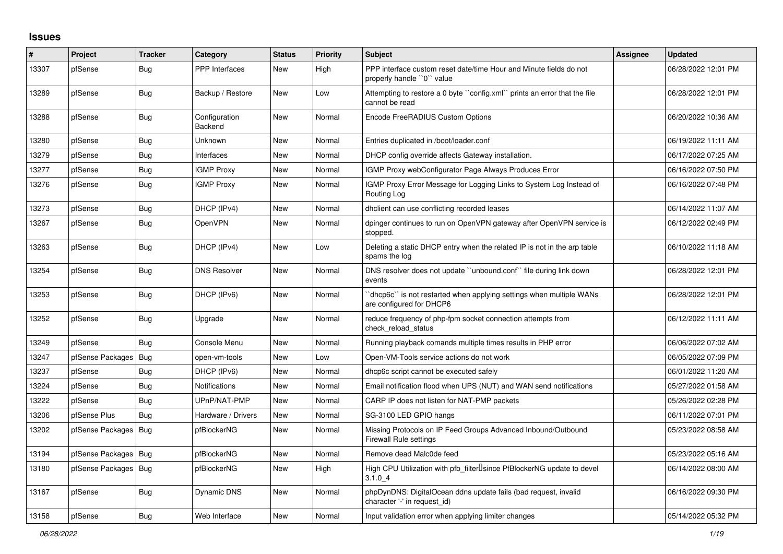## **Issues**

| #     | Project                | <b>Tracker</b> | Category                 | <b>Status</b> | <b>Priority</b> | <b>Subject</b>                                                                                  | <b>Assignee</b> | <b>Updated</b>      |
|-------|------------------------|----------------|--------------------------|---------------|-----------------|-------------------------------------------------------------------------------------------------|-----------------|---------------------|
| 13307 | pfSense                | <b>Bug</b>     | PPP Interfaces           | <b>New</b>    | High            | PPP interface custom reset date/time Hour and Minute fields do not<br>properly handle "0" value |                 | 06/28/2022 12:01 PM |
| 13289 | pfSense                | Bug            | Backup / Restore         | <b>New</b>    | Low             | Attempting to restore a 0 byte "config.xml" prints an error that the file<br>cannot be read     |                 | 06/28/2022 12:01 PM |
| 13288 | pfSense                | Bug            | Configuration<br>Backend | <b>New</b>    | Normal          | Encode FreeRADIUS Custom Options                                                                |                 | 06/20/2022 10:36 AM |
| 13280 | pfSense                | Bug            | Unknown                  | New           | Normal          | Entries duplicated in /boot/loader.conf                                                         |                 | 06/19/2022 11:11 AM |
| 13279 | pfSense                | <b>Bug</b>     | Interfaces               | New           | Normal          | DHCP config override affects Gateway installation.                                              |                 | 06/17/2022 07:25 AM |
| 13277 | pfSense                | Bug            | <b>IGMP Proxy</b>        | New           | Normal          | IGMP Proxy webConfigurator Page Always Produces Error                                           |                 | 06/16/2022 07:50 PM |
| 13276 | pfSense                | Bug            | <b>IGMP Proxy</b>        | New           | Normal          | IGMP Proxy Error Message for Logging Links to System Log Instead of<br>Routing Log              |                 | 06/16/2022 07:48 PM |
| 13273 | pfSense                | Bug            | DHCP (IPv4)              | New           | Normal          | dholient can use conflicting recorded leases                                                    |                 | 06/14/2022 11:07 AM |
| 13267 | pfSense                | <b>Bug</b>     | <b>OpenVPN</b>           | <b>New</b>    | Normal          | dpinger continues to run on OpenVPN gateway after OpenVPN service is<br>stopped.                |                 | 06/12/2022 02:49 PM |
| 13263 | pfSense                | <b>Bug</b>     | DHCP (IPv4)              | New           | Low             | Deleting a static DHCP entry when the related IP is not in the arp table<br>spams the log       |                 | 06/10/2022 11:18 AM |
| 13254 | pfSense                | <b>Bug</b>     | <b>DNS Resolver</b>      | New           | Normal          | DNS resolver does not update "unbound.conf" file during link down<br>events                     |                 | 06/28/2022 12:01 PM |
| 13253 | pfSense                | <b>Bug</b>     | DHCP (IPv6)              | New           | Normal          | dhcp6c" is not restarted when applying settings when multiple WANs<br>are configured for DHCP6  |                 | 06/28/2022 12:01 PM |
| 13252 | pfSense                | Bug            | Upgrade                  | <b>New</b>    | Normal          | reduce frequency of php-fpm socket connection attempts from<br>check reload status              |                 | 06/12/2022 11:11 AM |
| 13249 | pfSense                | <b>Bug</b>     | Console Menu             | New           | Normal          | Running playback comands multiple times results in PHP error                                    |                 | 06/06/2022 07:02 AM |
| 13247 | pfSense Packages       | Bug            | open-vm-tools            | <b>New</b>    | Low             | Open-VM-Tools service actions do not work                                                       |                 | 06/05/2022 07:09 PM |
| 13237 | pfSense                | Bug            | DHCP (IPv6)              | New           | Normal          | dhcp6c script cannot be executed safely                                                         |                 | 06/01/2022 11:20 AM |
| 13224 | pfSense                | <b>Bug</b>     | <b>Notifications</b>     | New           | Normal          | Email notification flood when UPS (NUT) and WAN send notifications                              |                 | 05/27/2022 01:58 AM |
| 13222 | pfSense                | Bug            | UPnP/NAT-PMP             | <b>New</b>    | Normal          | CARP IP does not listen for NAT-PMP packets                                                     |                 | 05/26/2022 02:28 PM |
| 13206 | pfSense Plus           | Bug            | Hardware / Drivers       | New           | Normal          | SG-3100 LED GPIO hangs                                                                          |                 | 06/11/2022 07:01 PM |
| 13202 | pfSense Packages       | Bug            | pfBlockerNG              | New           | Normal          | Missing Protocols on IP Feed Groups Advanced Inbound/Outbound<br>Firewall Rule settings         |                 | 05/23/2022 08:58 AM |
| 13194 | pfSense Packages   Bug |                | pfBlockerNG              | New           | Normal          | Remove dead Malc0de feed                                                                        |                 | 05/23/2022 05:16 AM |
| 13180 | pfSense Packages       | Bug            | pfBlockerNG              | New           | High            | High CPU Utilization with pfb_filter <sup>[]</sup> since PfBlockerNG update to devel<br>3.1.04  |                 | 06/14/2022 08:00 AM |
| 13167 | pfSense                | Bug            | <b>Dynamic DNS</b>       | New           | Normal          | phpDynDNS: DigitalOcean ddns update fails (bad request, invalid<br>character '-' in request_id) |                 | 06/16/2022 09:30 PM |
| 13158 | pfSense                | <b>Bug</b>     | Web Interface            | <b>New</b>    | Normal          | Input validation error when applying limiter changes                                            |                 | 05/14/2022 05:32 PM |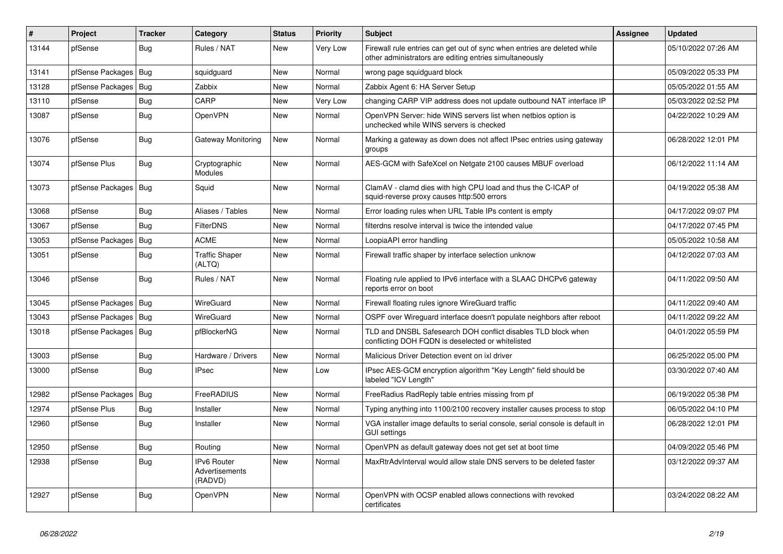| #     | Project                | <b>Tracker</b> | Category                                               | <b>Status</b> | <b>Priority</b> | <b>Subject</b>                                                                                                                      | <b>Assignee</b> | <b>Updated</b>      |
|-------|------------------------|----------------|--------------------------------------------------------|---------------|-----------------|-------------------------------------------------------------------------------------------------------------------------------------|-----------------|---------------------|
| 13144 | pfSense                | Bug            | Rules / NAT                                            | <b>New</b>    | Very Low        | Firewall rule entries can get out of sync when entries are deleted while<br>other administrators are editing entries simultaneously |                 | 05/10/2022 07:26 AM |
| 13141 | pfSense Packages       | Bug            | squidguard                                             | New           | Normal          | wrong page squidguard block                                                                                                         |                 | 05/09/2022 05:33 PM |
| 13128 | pfSense Packages       | Bug            | Zabbix                                                 | New           | Normal          | Zabbix Agent 6: HA Server Setup                                                                                                     |                 | 05/05/2022 01:55 AM |
| 13110 | pfSense                | <b>Bug</b>     | CARP                                                   | New           | Very Low        | changing CARP VIP address does not update outbound NAT interface IP                                                                 |                 | 05/03/2022 02:52 PM |
| 13087 | pfSense                | <b>Bug</b>     | <b>OpenVPN</b>                                         | New           | Normal          | OpenVPN Server: hide WINS servers list when netbios option is<br>unchecked while WINS servers is checked                            |                 | 04/22/2022 10:29 AM |
| 13076 | pfSense                | Bug            | Gateway Monitoring                                     | New           | Normal          | Marking a gateway as down does not affect IPsec entries using gateway<br>groups                                                     |                 | 06/28/2022 12:01 PM |
| 13074 | pfSense Plus           | <b>Bug</b>     | Cryptographic<br>Modules                               | <b>New</b>    | Normal          | AES-GCM with SafeXcel on Netgate 2100 causes MBUF overload                                                                          |                 | 06/12/2022 11:14 AM |
| 13073 | pfSense Packages   Bug |                | Squid                                                  | New           | Normal          | ClamAV - clamd dies with high CPU load and thus the C-ICAP of<br>squid-reverse proxy causes http:500 errors                         |                 | 04/19/2022 05:38 AM |
| 13068 | pfSense                | <b>Bug</b>     | Aliases / Tables                                       | New           | Normal          | Error loading rules when URL Table IPs content is empty                                                                             |                 | 04/17/2022 09:07 PM |
| 13067 | pfSense                | Bug            | <b>FilterDNS</b>                                       | <b>New</b>    | Normal          | filterdns resolve interval is twice the intended value                                                                              |                 | 04/17/2022 07:45 PM |
| 13053 | pfSense Packages       | Bug            | <b>ACME</b>                                            | <b>New</b>    | Normal          | LoopiaAPI error handling                                                                                                            |                 | 05/05/2022 10:58 AM |
| 13051 | pfSense                | Bug            | <b>Traffic Shaper</b><br>(ALTQ)                        | <b>New</b>    | Normal          | Firewall traffic shaper by interface selection unknow                                                                               |                 | 04/12/2022 07:03 AM |
| 13046 | pfSense                | <b>Bug</b>     | Rules / NAT                                            | New           | Normal          | Floating rule applied to IPv6 interface with a SLAAC DHCPv6 gateway<br>reports error on boot                                        |                 | 04/11/2022 09:50 AM |
| 13045 | pfSense Packages       | Bug            | WireGuard                                              | <b>New</b>    | Normal          | Firewall floating rules ignore WireGuard traffic                                                                                    |                 | 04/11/2022 09:40 AM |
| 13043 | pfSense Packages       | Bug            | WireGuard                                              | New           | Normal          | OSPF over Wireguard interface doesn't populate neighbors after reboot                                                               |                 | 04/11/2022 09:22 AM |
| 13018 | pfSense Packages       | Bug            | pfBlockerNG                                            | New           | Normal          | TLD and DNSBL Safesearch DOH conflict disables TLD block when<br>conflicting DOH FQDN is deselected or whitelisted                  |                 | 04/01/2022 05:59 PM |
| 13003 | pfSense                | Bug            | Hardware / Drivers                                     | <b>New</b>    | Normal          | Malicious Driver Detection event on ixl driver                                                                                      |                 | 06/25/2022 05:00 PM |
| 13000 | pfSense                | <b>Bug</b>     | <b>IPsec</b>                                           | <b>New</b>    | Low             | IPsec AES-GCM encryption algorithm "Key Length" field should be<br>labeled "ICV Lenath"                                             |                 | 03/30/2022 07:40 AM |
| 12982 | pfSense Packages       | <b>Bug</b>     | FreeRADIUS                                             | <b>New</b>    | Normal          | FreeRadius RadReply table entries missing from pf                                                                                   |                 | 06/19/2022 05:38 PM |
| 12974 | pfSense Plus           | Bug            | Installer                                              | <b>New</b>    | Normal          | Typing anything into 1100/2100 recovery installer causes process to stop                                                            |                 | 06/05/2022 04:10 PM |
| 12960 | pfSense                | <b>Bug</b>     | Installer                                              | <b>New</b>    | Normal          | VGA installer image defaults to serial console, serial console is default in<br><b>GUI settings</b>                                 |                 | 06/28/2022 12:01 PM |
| 12950 | pfSense                | <b>Bug</b>     | Routing                                                | New           | Normal          | OpenVPN as default gateway does not get set at boot time                                                                            |                 | 04/09/2022 05:46 PM |
| 12938 | pfSense                | <b>Bug</b>     | <b>IPv6 Router</b><br><b>Advertisements</b><br>(RADVD) | New           | Normal          | MaxRtrAdvInterval would allow stale DNS servers to be deleted faster                                                                |                 | 03/12/2022 09:37 AM |
| 12927 | pfSense                | Bug            | <b>OpenVPN</b>                                         | <b>New</b>    | Normal          | OpenVPN with OCSP enabled allows connections with revoked<br>certificates                                                           |                 | 03/24/2022 08:22 AM |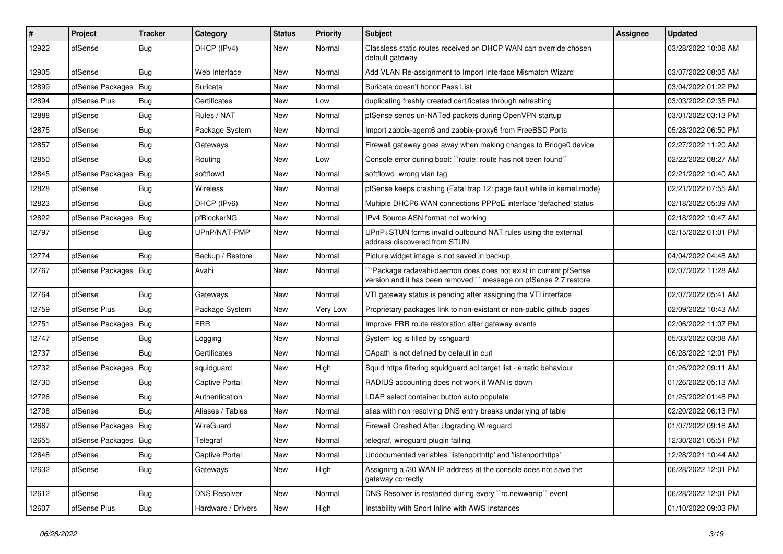| $\#$  | Project                | <b>Tracker</b> | Category            | <b>Status</b> | <b>Priority</b> | <b>Subject</b>                                                                                                                      | <b>Assignee</b> | Updated             |
|-------|------------------------|----------------|---------------------|---------------|-----------------|-------------------------------------------------------------------------------------------------------------------------------------|-----------------|---------------------|
| 12922 | pfSense                | <b>Bug</b>     | DHCP (IPv4)         | New           | Normal          | Classless static routes received on DHCP WAN can override chosen<br>default gateway                                                 |                 | 03/28/2022 10:08 AM |
| 12905 | pfSense                | Bug            | Web Interface       | New           | Normal          | Add VLAN Re-assignment to Import Interface Mismatch Wizard                                                                          |                 | 03/07/2022 08:05 AM |
| 12899 | pfSense Packages   Bug |                | Suricata            | New           | Normal          | Suricata doesn't honor Pass List                                                                                                    |                 | 03/04/2022 01:22 PM |
| 12894 | pfSense Plus           | <b>Bug</b>     | Certificates        | New           | Low             | duplicating freshly created certificates through refreshing                                                                         |                 | 03/03/2022 02:35 PM |
| 12888 | pfSense                | <b>Bug</b>     | Rules / NAT         | New           | Normal          | pfSense sends un-NATed packets during OpenVPN startup                                                                               |                 | 03/01/2022 03:13 PM |
| 12875 | pfSense                | Bug            | Package System      | New           | Normal          | Import zabbix-agent6 and zabbix-proxy6 from FreeBSD Ports                                                                           |                 | 05/28/2022 06:50 PM |
| 12857 | pfSense                | Bug            | Gateways            | New           | Normal          | Firewall gateway goes away when making changes to Bridge0 device                                                                    |                 | 02/27/2022 11:20 AM |
| 12850 | pfSense                | Bug            | Routing             | New           | Low             | Console error during boot: "route: route has not been found"                                                                        |                 | 02/22/2022 08:27 AM |
| 12845 | pfSense Packages       | Bug            | softflowd           | New           | Normal          | softflowd wrong vlan tag                                                                                                            |                 | 02/21/2022 10:40 AM |
| 12828 | pfSense                | Bug            | Wireless            | New           | Normal          | pfSense keeps crashing (Fatal trap 12: page fault while in kernel mode)                                                             |                 | 02/21/2022 07:55 AM |
| 12823 | pfSense                | Bug            | DHCP (IPv6)         | New           | Normal          | Multiple DHCP6 WAN connections PPPoE interface 'defached' status                                                                    |                 | 02/18/2022 05:39 AM |
| 12822 | pfSense Packages       | Bug            | pfBlockerNG         | New           | Normal          | IPv4 Source ASN format not working                                                                                                  |                 | 02/18/2022 10:47 AM |
| 12797 | pfSense                | Bug            | UPnP/NAT-PMP        | New           | Normal          | UPnP+STUN forms invalid outbound NAT rules using the external<br>address discovered from STUN                                       |                 | 02/15/2022 01:01 PM |
| 12774 | pfSense                | Bug            | Backup / Restore    | New           | Normal          | Picture widget image is not saved in backup                                                                                         |                 | 04/04/2022 04:48 AM |
| 12767 | pfSense Packages   Bug |                | Avahi               | New           | Normal          | 'Package radavahi-daemon does does not exist in current pfSense<br>version and it has been removed"" message on pfSense 2.7 restore |                 | 02/07/2022 11:28 AM |
| 12764 | pfSense                | <b>Bug</b>     | Gateways            | New           | Normal          | VTI gateway status is pending after assigning the VTI interface                                                                     |                 | 02/07/2022 05:41 AM |
| 12759 | pfSense Plus           | Bug            | Package System      | New           | Very Low        | Proprietary packages link to non-existant or non-public github pages                                                                |                 | 02/09/2022 10:43 AM |
| 12751 | pfSense Packages       | Bug            | <b>FRR</b>          | New           | Normal          | Improve FRR route restoration after gateway events                                                                                  |                 | 02/06/2022 11:07 PM |
| 12747 | pfSense                | <b>Bug</b>     | Logging             | New           | Normal          | System log is filled by sshguard                                                                                                    |                 | 05/03/2022 03:08 AM |
| 12737 | pfSense                | Bug            | Certificates        | <b>New</b>    | Normal          | CApath is not defined by default in curl                                                                                            |                 | 06/28/2022 12:01 PM |
| 12732 | pfSense Packages       | Bug            | squidguard          | New           | High            | Squid https filtering squidguard acl target list - erratic behaviour                                                                |                 | 01/26/2022 09:11 AM |
| 12730 | pfSense                | <b>Bug</b>     | Captive Portal      | New           | Normal          | RADIUS accounting does not work if WAN is down                                                                                      |                 | 01/26/2022 05:13 AM |
| 12726 | pfSense                | <b>Bug</b>     | Authentication      | New           | Normal          | LDAP select container button auto populate                                                                                          |                 | 01/25/2022 01:48 PM |
| 12708 | pfSense                | <b>Bug</b>     | Aliases / Tables    | New           | Normal          | alias with non resolving DNS entry breaks underlying pf table                                                                       |                 | 02/20/2022 06:13 PM |
| 12667 | pfSense Packages   Bug |                | WireGuard           | <b>New</b>    | Normal          | Firewall Crashed After Upgrading Wireguard                                                                                          |                 | 01/07/2022 09:18 AM |
| 12655 | pfSense Packages   Bug |                | Telegraf            | New           | Normal          | telegraf, wireguard plugin failing                                                                                                  |                 | 12/30/2021 05:51 PM |
| 12648 | pfSense                | Bug            | Captive Portal      | New           | Normal          | Undocumented variables 'listenporthttp' and 'listenporthttps'                                                                       |                 | 12/28/2021 10:44 AM |
| 12632 | pfSense                | Bug            | Gateways            | New           | High            | Assigning a /30 WAN IP address at the console does not save the<br>gateway correctly                                                |                 | 06/28/2022 12:01 PM |
| 12612 | pfSense                | <b>Bug</b>     | <b>DNS Resolver</b> | New           | Normal          | DNS Resolver is restarted during every "rc.newwanip" event                                                                          |                 | 06/28/2022 12:01 PM |
| 12607 | pfSense Plus           | <b>Bug</b>     | Hardware / Drivers  | New           | High            | Instability with Snort Inline with AWS Instances                                                                                    |                 | 01/10/2022 09:03 PM |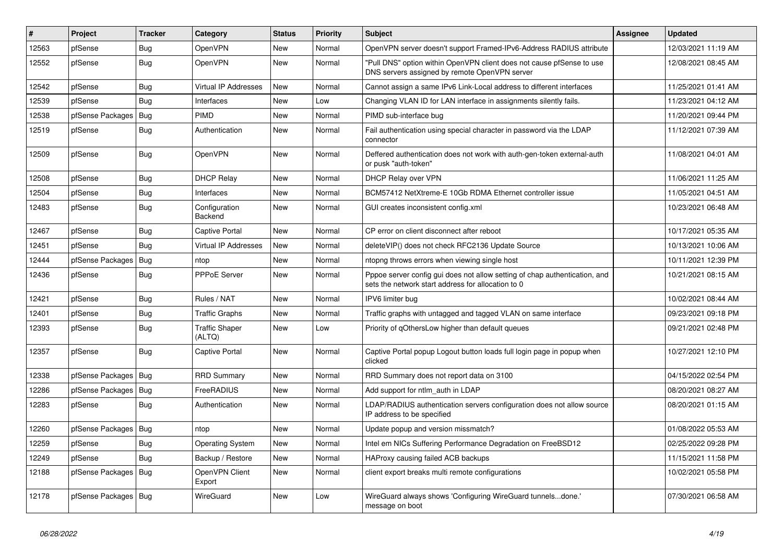| $\vert$ # | Project                | <b>Tracker</b> | Category                        | <b>Status</b> | <b>Priority</b> | <b>Subject</b>                                                                                                                   | <b>Assignee</b> | <b>Updated</b>      |
|-----------|------------------------|----------------|---------------------------------|---------------|-----------------|----------------------------------------------------------------------------------------------------------------------------------|-----------------|---------------------|
| 12563     | pfSense                | <b>Bug</b>     | OpenVPN                         | <b>New</b>    | Normal          | OpenVPN server doesn't support Framed-IPv6-Address RADIUS attribute                                                              |                 | 12/03/2021 11:19 AM |
| 12552     | pfSense                | <b>Bug</b>     | OpenVPN                         | <b>New</b>    | Normal          | "Pull DNS" option within OpenVPN client does not cause pfSense to use<br>DNS servers assigned by remote OpenVPN server           |                 | 12/08/2021 08:45 AM |
| 12542     | pfSense                | Bug            | Virtual IP Addresses            | <b>New</b>    | Normal          | Cannot assign a same IPv6 Link-Local address to different interfaces                                                             |                 | 11/25/2021 01:41 AM |
| 12539     | pfSense                | Bug            | Interfaces                      | <b>New</b>    | Low             | Changing VLAN ID for LAN interface in assignments silently fails.                                                                |                 | 11/23/2021 04:12 AM |
| 12538     | pfSense Packages       | Bug            | PIMD                            | <b>New</b>    | Normal          | PIMD sub-interface bug                                                                                                           |                 | 11/20/2021 09:44 PM |
| 12519     | pfSense                | Bug            | Authentication                  | <b>New</b>    | Normal          | Fail authentication using special character in password via the LDAP<br>connector                                                |                 | 11/12/2021 07:39 AM |
| 12509     | pfSense                | <b>Bug</b>     | OpenVPN                         | <b>New</b>    | Normal          | Deffered authentication does not work with auth-gen-token external-auth<br>or pusk "auth-token"                                  |                 | 11/08/2021 04:01 AM |
| 12508     | pfSense                | <b>Bug</b>     | <b>DHCP Relay</b>               | <b>New</b>    | Normal          | DHCP Relay over VPN                                                                                                              |                 | 11/06/2021 11:25 AM |
| 12504     | pfSense                | <b>Bug</b>     | Interfaces                      | <b>New</b>    | Normal          | BCM57412 NetXtreme-E 10Gb RDMA Ethernet controller issue                                                                         |                 | 11/05/2021 04:51 AM |
| 12483     | pfSense                | <b>Bug</b>     | Configuration<br>Backend        | <b>New</b>    | Normal          | GUI creates inconsistent config.xml                                                                                              |                 | 10/23/2021 06:48 AM |
| 12467     | pfSense                | Bug            | <b>Captive Portal</b>           | <b>New</b>    | Normal          | CP error on client disconnect after reboot                                                                                       |                 | 10/17/2021 05:35 AM |
| 12451     | pfSense                | Bug            | <b>Virtual IP Addresses</b>     | <b>New</b>    | Normal          | deleteVIP() does not check RFC2136 Update Source                                                                                 |                 | 10/13/2021 10:06 AM |
| 12444     | pfSense Packages   Bug |                | ntop                            | New           | Normal          | ntopng throws errors when viewing single host                                                                                    |                 | 10/11/2021 12:39 PM |
| 12436     | pfSense                | Bug            | PPPoE Server                    | <b>New</b>    | Normal          | Pppoe server config gui does not allow setting of chap authentication, and<br>sets the network start address for allocation to 0 |                 | 10/21/2021 08:15 AM |
| 12421     | pfSense                | <b>Bug</b>     | Rules / NAT                     | <b>New</b>    | Normal          | IPV6 limiter bug                                                                                                                 |                 | 10/02/2021 08:44 AM |
| 12401     | pfSense                | <b>Bug</b>     | <b>Traffic Graphs</b>           | <b>New</b>    | Normal          | Traffic graphs with untagged and tagged VLAN on same interface                                                                   |                 | 09/23/2021 09:18 PM |
| 12393     | pfSense                | <b>Bug</b>     | <b>Traffic Shaper</b><br>(ALTQ) | <b>New</b>    | Low             | Priority of gOthersLow higher than default queues                                                                                |                 | 09/21/2021 02:48 PM |
| 12357     | pfSense                | Bug            | Captive Portal                  | New           | Normal          | Captive Portal popup Logout button loads full login page in popup when<br>clicked                                                |                 | 10/27/2021 12:10 PM |
| 12338     | pfSense Packages   Bug |                | <b>RRD Summary</b>              | <b>New</b>    | Normal          | RRD Summary does not report data on 3100                                                                                         |                 | 04/15/2022 02:54 PM |
| 12286     | pfSense Packages   Bug |                | FreeRADIUS                      | <b>New</b>    | Normal          | Add support for ntlm auth in LDAP                                                                                                |                 | 08/20/2021 08:27 AM |
| 12283     | pfSense                | Bug            | Authentication                  | New           | Normal          | LDAP/RADIUS authentication servers configuration does not allow source<br>IP address to be specified                             |                 | 08/20/2021 01:15 AM |
| 12260     | pfSense Packages   Bug |                | ntop                            | <b>New</b>    | Normal          | Update popup and version missmatch?                                                                                              |                 | 01/08/2022 05:53 AM |
| 12259     | pfSense                | Bug            | <b>Operating System</b>         | <b>New</b>    | Normal          | Intel em NICs Suffering Performance Degradation on FreeBSD12                                                                     |                 | 02/25/2022 09:28 PM |
| 12249     | pfSense                | Bug            | Backup / Restore                | <b>New</b>    | Normal          | HAProxy causing failed ACB backups                                                                                               |                 | 11/15/2021 11:58 PM |
| 12188     | pfSense Packages   Bug |                | OpenVPN Client<br>Export        | <b>New</b>    | Normal          | client export breaks multi remote configurations                                                                                 |                 | 10/02/2021 05:58 PM |
| 12178     | pfSense Packages   Bug |                | WireGuard                       | <b>New</b>    | Low             | WireGuard always shows 'Configuring WireGuard tunnelsdone.'<br>message on boot                                                   |                 | 07/30/2021 06:58 AM |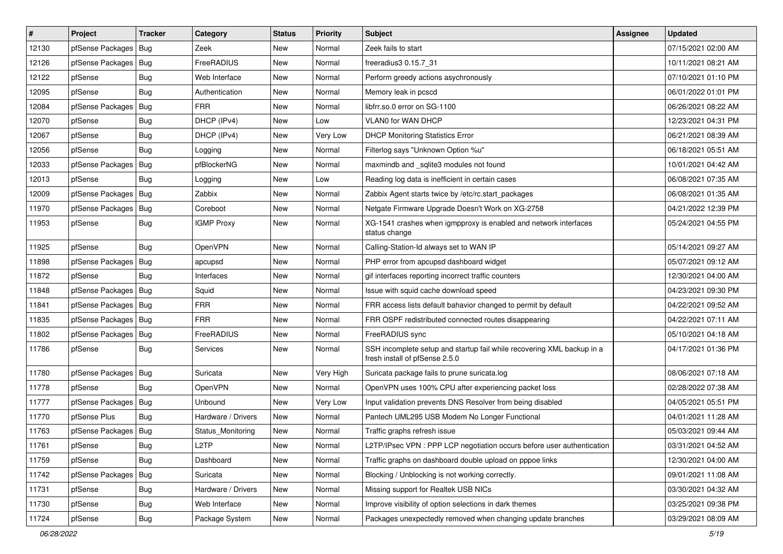| #     | Project                | <b>Tracker</b> | Category           | <b>Status</b> | Priority  | <b>Subject</b>                                                                                           | <b>Assignee</b> | <b>Updated</b>      |
|-------|------------------------|----------------|--------------------|---------------|-----------|----------------------------------------------------------------------------------------------------------|-----------------|---------------------|
| 12130 | pfSense Packages   Bug |                | Zeek               | New           | Normal    | Zeek fails to start                                                                                      |                 | 07/15/2021 02:00 AM |
| 12126 | pfSense Packages   Bug |                | FreeRADIUS         | <b>New</b>    | Normal    | freeradius3 0.15.7 31                                                                                    |                 | 10/11/2021 08:21 AM |
| 12122 | pfSense                | <b>Bug</b>     | Web Interface      | New           | Normal    | Perform greedy actions asychronously                                                                     |                 | 07/10/2021 01:10 PM |
| 12095 | pfSense                | Bug            | Authentication     | New           | Normal    | Memory leak in pcscd                                                                                     |                 | 06/01/2022 01:01 PM |
| 12084 | pfSense Packages       | Bug            | <b>FRR</b>         | <b>New</b>    | Normal    | libfrr.so.0 error on SG-1100                                                                             |                 | 06/26/2021 08:22 AM |
| 12070 | pfSense                | Bug            | DHCP (IPv4)        | New           | Low       | VLAN0 for WAN DHCP                                                                                       |                 | 12/23/2021 04:31 PM |
| 12067 | pfSense                | Bug            | DHCP (IPv4)        | New           | Very Low  | <b>DHCP Monitoring Statistics Error</b>                                                                  |                 | 06/21/2021 08:39 AM |
| 12056 | pfSense                | Bug            | Logging            | New           | Normal    | Filterlog says "Unknown Option %u"                                                                       |                 | 06/18/2021 05:51 AM |
| 12033 | pfSense Packages   Bug |                | pfBlockerNG        | New           | Normal    | maxmindb and _sqlite3 modules not found                                                                  |                 | 10/01/2021 04:42 AM |
| 12013 | pfSense                | Bug            | Logging            | <b>New</b>    | Low       | Reading log data is inefficient in certain cases                                                         |                 | 06/08/2021 07:35 AM |
| 12009 | pfSense Packages   Bug |                | Zabbix             | New           | Normal    | Zabbix Agent starts twice by /etc/rc.start packages                                                      |                 | 06/08/2021 01:35 AM |
| 11970 | pfSense Packages   Bug |                | Coreboot           | New           | Normal    | Netgate Firmware Upgrade Doesn't Work on XG-2758                                                         |                 | 04/21/2022 12:39 PM |
| 11953 | pfSense                | Bug            | <b>IGMP Proxy</b>  | <b>New</b>    | Normal    | XG-1541 crashes when igmpproxy is enabled and network interfaces<br>status change                        |                 | 05/24/2021 04:55 PM |
| 11925 | pfSense                | Bug            | OpenVPN            | <b>New</b>    | Normal    | Calling-Station-Id always set to WAN IP                                                                  |                 | 05/14/2021 09:27 AM |
| 11898 | pfSense Packages   Bug |                | apcupsd            | New           | Normal    | PHP error from apcupsd dashboard widget                                                                  |                 | 05/07/2021 09:12 AM |
| 11872 | pfSense                | <b>Bug</b>     | Interfaces         | New           | Normal    | gif interfaces reporting incorrect traffic counters                                                      |                 | 12/30/2021 04:00 AM |
| 11848 | pfSense Packages   Bug |                | Squid              | <b>New</b>    | Normal    | Issue with squid cache download speed                                                                    |                 | 04/23/2021 09:30 PM |
| 11841 | pfSense Packages   Bug |                | <b>FRR</b>         | New           | Normal    | FRR access lists default bahavior changed to permit by default                                           |                 | 04/22/2021 09:52 AM |
| 11835 | pfSense Packages   Bug |                | <b>FRR</b>         | New           | Normal    | FRR OSPF redistributed connected routes disappearing                                                     |                 | 04/22/2021 07:11 AM |
| 11802 | pfSense Packages   Bug |                | FreeRADIUS         | New           | Normal    | FreeRADIUS sync                                                                                          |                 | 05/10/2021 04:18 AM |
| 11786 | pfSense                | <b>Bug</b>     | Services           | New           | Normal    | SSH incomplete setup and startup fail while recovering XML backup in a<br>fresh install of pfSense 2.5.0 |                 | 04/17/2021 01:36 PM |
| 11780 | pfSense Packages   Bug |                | Suricata           | New           | Very High | Suricata package fails to prune suricata.log                                                             |                 | 08/06/2021 07:18 AM |
| 11778 | pfSense                | Bug            | OpenVPN            | New           | Normal    | OpenVPN uses 100% CPU after experiencing packet loss                                                     |                 | 02/28/2022 07:38 AM |
| 11777 | pfSense Packages       | Bug            | Unbound            | New           | Very Low  | Input validation prevents DNS Resolver from being disabled                                               |                 | 04/05/2021 05:51 PM |
| 11770 | pfSense Plus           | Bug            | Hardware / Drivers | New           | Normal    | Pantech UML295 USB Modem No Longer Functional                                                            |                 | 04/01/2021 11:28 AM |
| 11763 | pfSense Packages   Bug |                | Status Monitoring  | <b>New</b>    | Normal    | Traffic graphs refresh issue                                                                             |                 | 05/03/2021 09:44 AM |
| 11761 | pfSense                | Bug            | L <sub>2</sub> TP  | New           | Normal    | L2TP/IPsec VPN : PPP LCP negotiation occurs before user authentication                                   |                 | 03/31/2021 04:52 AM |
| 11759 | pfSense                | <b>Bug</b>     | Dashboard          | New           | Normal    | Traffic graphs on dashboard double upload on pppoe links                                                 |                 | 12/30/2021 04:00 AM |
| 11742 | pfSense Packages       | Bug            | Suricata           | New           | Normal    | Blocking / Unblocking is not working correctly.                                                          |                 | 09/01/2021 11:08 AM |
| 11731 | pfSense                | Bug            | Hardware / Drivers | New           | Normal    | Missing support for Realtek USB NICs                                                                     |                 | 03/30/2021 04:32 AM |
| 11730 | pfSense                | Bug            | Web Interface      | New           | Normal    | Improve visibility of option selections in dark themes                                                   |                 | 03/25/2021 09:38 PM |
| 11724 | pfSense                | Bug            | Package System     | New           | Normal    | Packages unexpectedly removed when changing update branches                                              |                 | 03/29/2021 08:09 AM |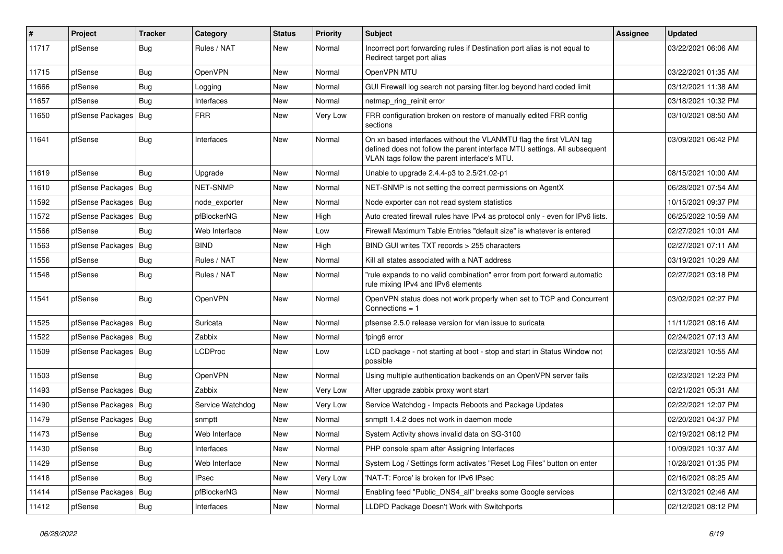| $\vert$ # | Project                | <b>Tracker</b> | Category         | <b>Status</b> | <b>Priority</b> | Subject                                                                                                                                                                                         | <b>Assignee</b> | <b>Updated</b>      |
|-----------|------------------------|----------------|------------------|---------------|-----------------|-------------------------------------------------------------------------------------------------------------------------------------------------------------------------------------------------|-----------------|---------------------|
| 11717     | pfSense                | <b>Bug</b>     | Rules / NAT      | New           | Normal          | Incorrect port forwarding rules if Destination port alias is not equal to<br>Redirect target port alias                                                                                         |                 | 03/22/2021 06:06 AM |
| 11715     | pfSense                | Bug            | OpenVPN          | New           | Normal          | OpenVPN MTU                                                                                                                                                                                     |                 | 03/22/2021 01:35 AM |
| 11666     | pfSense                | Bug            | Logging          | New           | Normal          | GUI Firewall log search not parsing filter.log beyond hard coded limit                                                                                                                          |                 | 03/12/2021 11:38 AM |
| 11657     | pfSense                | <b>Bug</b>     | Interfaces       | New           | Normal          | netmap ring reinit error                                                                                                                                                                        |                 | 03/18/2021 10:32 PM |
| 11650     | pfSense Packages       | Bug            | <b>FRR</b>       | New           | Very Low        | FRR configuration broken on restore of manually edited FRR config<br>sections                                                                                                                   |                 | 03/10/2021 08:50 AM |
| 11641     | pfSense                | Bug            | Interfaces       | New           | Normal          | On xn based interfaces without the VLANMTU flag the first VLAN tag<br>defined does not follow the parent interface MTU settings. All subsequent<br>VLAN tags follow the parent interface's MTU. |                 | 03/09/2021 06:42 PM |
| 11619     | pfSense                | Bug            | Upgrade          | New           | Normal          | Unable to upgrade 2.4.4-p3 to 2.5/21.02-p1                                                                                                                                                      |                 | 08/15/2021 10:00 AM |
| 11610     | pfSense Packages       | Bug            | NET-SNMP         | New           | Normal          | NET-SNMP is not setting the correct permissions on AgentX                                                                                                                                       |                 | 06/28/2021 07:54 AM |
| 11592     | pfSense Packages       | Bug            | node exporter    | <b>New</b>    | Normal          | Node exporter can not read system statistics                                                                                                                                                    |                 | 10/15/2021 09:37 PM |
| 11572     | pfSense Packages   Bug |                | pfBlockerNG      | New           | High            | Auto created firewall rules have IPv4 as protocol only - even for IPv6 lists.                                                                                                                   |                 | 06/25/2022 10:59 AM |
| 11566     | pfSense                | Bug            | Web Interface    | New           | Low             | Firewall Maximum Table Entries "default size" is whatever is entered                                                                                                                            |                 | 02/27/2021 10:01 AM |
| 11563     | pfSense Packages       | Bug            | <b>BIND</b>      | <b>New</b>    | High            | BIND GUI writes TXT records > 255 characters                                                                                                                                                    |                 | 02/27/2021 07:11 AM |
| 11556     | pfSense                | <b>Bug</b>     | Rules / NAT      | New           | Normal          | Kill all states associated with a NAT address                                                                                                                                                   |                 | 03/19/2021 10:29 AM |
| 11548     | pfSense                | Bug            | Rules / NAT      | New           | Normal          | "rule expands to no valid combination" error from port forward automatic<br>rule mixing IPv4 and IPv6 elements                                                                                  |                 | 02/27/2021 03:18 PM |
| 11541     | pfSense                | <b>Bug</b>     | OpenVPN          | New           | Normal          | OpenVPN status does not work properly when set to TCP and Concurrent<br>Connections $= 1$                                                                                                       |                 | 03/02/2021 02:27 PM |
| 11525     | pfSense Packages   Bug |                | Suricata         | New           | Normal          | pfsense 2.5.0 release version for vlan issue to suricata                                                                                                                                        |                 | 11/11/2021 08:16 AM |
| 11522     | pfSense Packages   Bug |                | Zabbix           | New           | Normal          | fping6 error                                                                                                                                                                                    |                 | 02/24/2021 07:13 AM |
| 11509     | pfSense Packages   Bug |                | LCDProc          | New           | Low             | LCD package - not starting at boot - stop and start in Status Window not<br>possible                                                                                                            |                 | 02/23/2021 10:55 AM |
| 11503     | pfSense                | Bug            | <b>OpenVPN</b>   | New           | Normal          | Using multiple authentication backends on an OpenVPN server fails                                                                                                                               |                 | 02/23/2021 12:23 PM |
| 11493     | pfSense Packages       | Bug            | Zabbix           | New           | Very Low        | After upgrade zabbix proxy wont start                                                                                                                                                           |                 | 02/21/2021 05:31 AM |
| 11490     | pfSense Packages       | Bug            | Service Watchdog | New           | Very Low        | Service Watchdog - Impacts Reboots and Package Updates                                                                                                                                          |                 | 02/22/2021 12:07 PM |
| 11479     | pfSense Packages       | Bug            | snmptt           | New           | Normal          | snmptt 1.4.2 does not work in daemon mode                                                                                                                                                       |                 | 02/20/2021 04:37 PM |
| 11473     | pfSense                | <b>Bug</b>     | Web Interface    | <b>New</b>    | Normal          | System Activity shows invalid data on SG-3100                                                                                                                                                   |                 | 02/19/2021 08:12 PM |
| 11430     | pfSense                | <b>Bug</b>     | Interfaces       | New           | Normal          | PHP console spam after Assigning Interfaces                                                                                                                                                     |                 | 10/09/2021 10:37 AM |
| 11429     | pfSense                | <b>Bug</b>     | Web Interface    | New           | Normal          | System Log / Settings form activates "Reset Log Files" button on enter                                                                                                                          |                 | 10/28/2021 01:35 PM |
| 11418     | pfSense                | <b>Bug</b>     | <b>IPsec</b>     | New           | Very Low        | 'NAT-T: Force' is broken for IPv6 IPsec                                                                                                                                                         |                 | 02/16/2021 08:25 AM |
| 11414     | pfSense Packages       | Bug            | pfBlockerNG      | New           | Normal          | Enabling feed "Public_DNS4_all" breaks some Google services                                                                                                                                     |                 | 02/13/2021 02:46 AM |
| 11412     | pfSense                | Bug            | Interfaces       | New           | Normal          | LLDPD Package Doesn't Work with Switchports                                                                                                                                                     |                 | 02/12/2021 08:12 PM |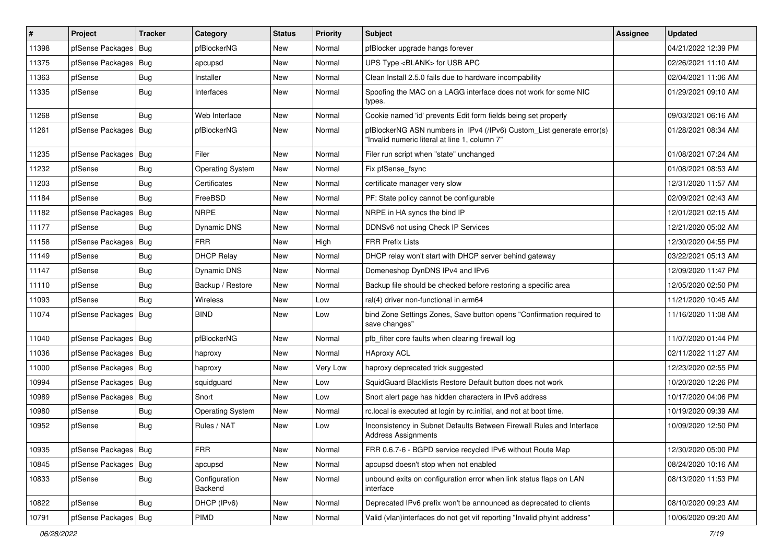| #     | Project                | <b>Tracker</b> | Category                 | <b>Status</b> | <b>Priority</b> | Subject                                                                                                                | <b>Assignee</b> | <b>Updated</b>      |
|-------|------------------------|----------------|--------------------------|---------------|-----------------|------------------------------------------------------------------------------------------------------------------------|-----------------|---------------------|
| 11398 | pfSense Packages       | Bug            | pfBlockerNG              | New           | Normal          | pfBlocker upgrade hangs forever                                                                                        |                 | 04/21/2022 12:39 PM |
| 11375 | pfSense Packages   Bug |                | apcupsd                  | <b>New</b>    | Normal          | UPS Type <blank> for USB APC</blank>                                                                                   |                 | 02/26/2021 11:10 AM |
| 11363 | pfSense                | <b>Bug</b>     | Installer                | New           | Normal          | Clean Install 2.5.0 fails due to hardware incompability                                                                |                 | 02/04/2021 11:06 AM |
| 11335 | pfSense                | Bug            | Interfaces               | New           | Normal          | Spoofing the MAC on a LAGG interface does not work for some NIC<br>types.                                              |                 | 01/29/2021 09:10 AM |
| 11268 | pfSense                | Bug            | Web Interface            | New           | Normal          | Cookie named 'id' prevents Edit form fields being set properly                                                         |                 | 09/03/2021 06:16 AM |
| 11261 | pfSense Packages   Bug |                | pfBlockerNG              | New           | Normal          | pfBlockerNG ASN numbers in IPv4 (/IPv6) Custom_List generate error(s)<br>"Invalid numeric literal at line 1, column 7" |                 | 01/28/2021 08:34 AM |
| 11235 | pfSense Packages   Bug |                | Filer                    | <b>New</b>    | Normal          | Filer run script when "state" unchanged                                                                                |                 | 01/08/2021 07:24 AM |
| 11232 | pfSense                | <b>Bug</b>     | <b>Operating System</b>  | <b>New</b>    | Normal          | Fix pfSense_fsync                                                                                                      |                 | 01/08/2021 08:53 AM |
| 11203 | pfSense                | Bug            | Certificates             | New           | Normal          | certificate manager very slow                                                                                          |                 | 12/31/2020 11:57 AM |
| 11184 | pfSense                | Bug            | FreeBSD                  | New           | Normal          | PF: State policy cannot be configurable                                                                                |                 | 02/09/2021 02:43 AM |
| 11182 | pfSense Packages       | Bug            | <b>NRPE</b>              | <b>New</b>    | Normal          | NRPE in HA syncs the bind IP                                                                                           |                 | 12/01/2021 02:15 AM |
| 11177 | pfSense                | <b>Bug</b>     | <b>Dynamic DNS</b>       | New           | Normal          | DDNSv6 not using Check IP Services                                                                                     |                 | 12/21/2020 05:02 AM |
| 11158 | pfSense Packages   Bug |                | <b>FRR</b>               | New           | High            | <b>FRR Prefix Lists</b>                                                                                                |                 | 12/30/2020 04:55 PM |
| 11149 | pfSense                | <b>Bug</b>     | <b>DHCP Relay</b>        | New           | Normal          | DHCP relay won't start with DHCP server behind gateway                                                                 |                 | 03/22/2021 05:13 AM |
| 11147 | pfSense                | Bug            | <b>Dynamic DNS</b>       | New           | Normal          | Domeneshop DynDNS IPv4 and IPv6                                                                                        |                 | 12/09/2020 11:47 PM |
| 11110 | pfSense                | Bug            | Backup / Restore         | <b>New</b>    | Normal          | Backup file should be checked before restoring a specific area                                                         |                 | 12/05/2020 02:50 PM |
| 11093 | pfSense                | <b>Bug</b>     | Wireless                 | New           | Low             | ral(4) driver non-functional in arm64                                                                                  |                 | 11/21/2020 10:45 AM |
| 11074 | pfSense Packages   Bug |                | <b>BIND</b>              | New           | Low             | bind Zone Settings Zones, Save button opens "Confirmation required to<br>save changes"                                 |                 | 11/16/2020 11:08 AM |
| 11040 | pfSense Packages   Bug |                | pfBlockerNG              | <b>New</b>    | Normal          | pfb filter core faults when clearing firewall log                                                                      |                 | 11/07/2020 01:44 PM |
| 11036 | pfSense Packages   Bug |                | haproxy                  | New           | Normal          | <b>HAproxy ACL</b>                                                                                                     |                 | 02/11/2022 11:27 AM |
| 11000 | pfSense Packages   Bug |                | haproxy                  | New           | Very Low        | haproxy deprecated trick suggested                                                                                     |                 | 12/23/2020 02:55 PM |
| 10994 | pfSense Packages   Bug |                | squidguard               | New           | Low             | SquidGuard Blacklists Restore Default button does not work                                                             |                 | 10/20/2020 12:26 PM |
| 10989 | pfSense Packages   Bug |                | Snort                    | <b>New</b>    | Low             | Snort alert page has hidden characters in IPv6 address                                                                 |                 | 10/17/2020 04:06 PM |
| 10980 | pfSense                | <b>Bug</b>     | <b>Operating System</b>  | New           | Normal          | rc.local is executed at login by rc.initial, and not at boot time.                                                     |                 | 10/19/2020 09:39 AM |
| 10952 | pfSense                | Bug            | Rules / NAT              | New           | Low             | Inconsistency in Subnet Defaults Between Firewall Rules and Interface<br><b>Address Assignments</b>                    |                 | 10/09/2020 12:50 PM |
| 10935 | pfSense Packages   Bug |                | <b>FRR</b>               | New           | Normal          | FRR 0.6.7-6 - BGPD service recycled IPv6 without Route Map                                                             |                 | 12/30/2020 05:00 PM |
| 10845 | pfSense Packages       | Bug            | apcupsd                  | <b>New</b>    | Normal          | apcupsd doesn't stop when not enabled                                                                                  |                 | 08/24/2020 10:16 AM |
| 10833 | pfSense                | <b>Bug</b>     | Configuration<br>Backend | New           | Normal          | unbound exits on configuration error when link status flaps on LAN<br>interface                                        |                 | 08/13/2020 11:53 PM |
| 10822 | pfSense                | Bug            | DHCP (IPv6)              | New           | Normal          | Deprecated IPv6 prefix won't be announced as deprecated to clients                                                     |                 | 08/10/2020 09:23 AM |
| 10791 | pfSense Packages   Bug |                | PIMD                     | New           | Normal          | Valid (vlan)interfaces do not get vif reporting "Invalid phyint address"                                               |                 | 10/06/2020 09:20 AM |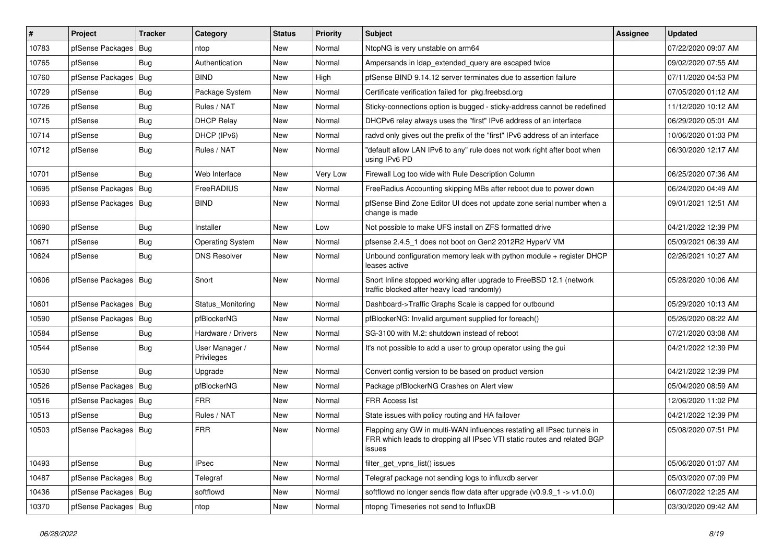| $\vert$ # | Project                | <b>Tracker</b> | Category                     | <b>Status</b> | <b>Priority</b> | Subject                                                                                                                                                     | <b>Assignee</b> | <b>Updated</b>      |
|-----------|------------------------|----------------|------------------------------|---------------|-----------------|-------------------------------------------------------------------------------------------------------------------------------------------------------------|-----------------|---------------------|
| 10783     | pfSense Packages       | Bug            | ntop                         | New           | Normal          | NtopNG is very unstable on arm64                                                                                                                            |                 | 07/22/2020 09:07 AM |
| 10765     | pfSense                | Bug            | Authentication               | New           | Normal          | Ampersands in Idap_extended_query are escaped twice                                                                                                         |                 | 09/02/2020 07:55 AM |
| 10760     | pfSense Packages       | Bug            | <b>BIND</b>                  | New           | High            | pfSense BIND 9.14.12 server terminates due to assertion failure                                                                                             |                 | 07/11/2020 04:53 PM |
| 10729     | pfSense                | <b>Bug</b>     | Package System               | New           | Normal          | Certificate verification failed for pkg.freebsd.org                                                                                                         |                 | 07/05/2020 01:12 AM |
| 10726     | pfSense                | Bug            | Rules / NAT                  | New           | Normal          | Sticky-connections option is bugged - sticky-address cannot be redefined                                                                                    |                 | 11/12/2020 10:12 AM |
| 10715     | pfSense                | <b>Bug</b>     | <b>DHCP Relay</b>            | New           | Normal          | DHCPv6 relay always uses the "first" IPv6 address of an interface                                                                                           |                 | 06/29/2020 05:01 AM |
| 10714     | pfSense                | <b>Bug</b>     | DHCP (IPv6)                  | New           | Normal          | radvd only gives out the prefix of the "first" IPv6 address of an interface                                                                                 |                 | 10/06/2020 01:03 PM |
| 10712     | pfSense                | Bug            | Rules / NAT                  | New           | Normal          | "default allow LAN IPv6 to any" rule does not work right after boot when<br>using IPv6 PD                                                                   |                 | 06/30/2020 12:17 AM |
| 10701     | pfSense                | Bug            | Web Interface                | <b>New</b>    | Very Low        | Firewall Log too wide with Rule Description Column                                                                                                          |                 | 06/25/2020 07:36 AM |
| 10695     | pfSense Packages       | Bug            | FreeRADIUS                   | New           | Normal          | FreeRadius Accounting skipping MBs after reboot due to power down                                                                                           |                 | 06/24/2020 04:49 AM |
| 10693     | pfSense Packages       | Bug            | <b>BIND</b>                  | New           | Normal          | pfSense Bind Zone Editor UI does not update zone serial number when a<br>change is made                                                                     |                 | 09/01/2021 12:51 AM |
| 10690     | pfSense                | Bug            | Installer                    | New           | Low             | Not possible to make UFS install on ZFS formatted drive                                                                                                     |                 | 04/21/2022 12:39 PM |
| 10671     | pfSense                | Bug            | <b>Operating System</b>      | New           | Normal          | pfsense 2.4.5 1 does not boot on Gen2 2012R2 HyperV VM                                                                                                      |                 | 05/09/2021 06:39 AM |
| 10624     | pfSense                | Bug            | <b>DNS Resolver</b>          | <b>New</b>    | Normal          | Unbound configuration memory leak with python module + register DHCP<br>leases active                                                                       |                 | 02/26/2021 10:27 AM |
| 10606     | pfSense Packages   Bug |                | Snort                        | <b>New</b>    | Normal          | Snort Inline stopped working after upgrade to FreeBSD 12.1 (network<br>traffic blocked after heavy load randomly)                                           |                 | 05/28/2020 10:06 AM |
| 10601     | pfSense Packages       | Bug            | Status Monitoring            | New           | Normal          | Dashboard->Traffic Graphs Scale is capped for outbound                                                                                                      |                 | 05/29/2020 10:13 AM |
| 10590     | pfSense Packages       | Bug            | pfBlockerNG                  | New           | Normal          | pfBlockerNG: Invalid argument supplied for foreach()                                                                                                        |                 | 05/26/2020 08:22 AM |
| 10584     | pfSense                | <b>Bug</b>     | Hardware / Drivers           | <b>New</b>    | Normal          | SG-3100 with M.2: shutdown instead of reboot                                                                                                                |                 | 07/21/2020 03:08 AM |
| 10544     | pfSense                | Bug            | User Manager /<br>Privileges | New           | Normal          | It's not possible to add a user to group operator using the gui                                                                                             |                 | 04/21/2022 12:39 PM |
| 10530     | pfSense                | Bug            | Upgrade                      | New           | Normal          | Convert config version to be based on product version                                                                                                       |                 | 04/21/2022 12:39 PM |
| 10526     | pfSense Packages       | Bug            | pfBlockerNG                  | <b>New</b>    | Normal          | Package pfBlockerNG Crashes on Alert view                                                                                                                   |                 | 05/04/2020 08:59 AM |
| 10516     | pfSense Packages       | Bug            | <b>FRR</b>                   | New           | Normal          | FRR Access list                                                                                                                                             |                 | 12/06/2020 11:02 PM |
| 10513     | pfSense                | <b>Bug</b>     | Rules / NAT                  | New           | Normal          | State issues with policy routing and HA failover                                                                                                            |                 | 04/21/2022 12:39 PM |
| 10503     | pfSense Packages       | Bug            | <b>FRR</b>                   | New           | Normal          | Flapping any GW in multi-WAN influences restating all IPsec tunnels in<br>FRR which leads to dropping all IPsec VTI static routes and related BGP<br>issues |                 | 05/08/2020 07:51 PM |
| 10493     | pfSense                | <b>Bug</b>     | <b>IPsec</b>                 | New           | Normal          | filter_get_vpns_list() issues                                                                                                                               |                 | 05/06/2020 01:07 AM |
| 10487     | pfSense Packages       | Bug            | Telegraf                     | New           | Normal          | Telegraf package not sending logs to influxdb server                                                                                                        |                 | 05/03/2020 07:09 PM |
| 10436     | pfSense Packages       | <b>Bug</b>     | softflowd                    | New           | Normal          | softflowd no longer sends flow data after upgrade $(v0.9.9 - 1 -> v1.0.0)$                                                                                  |                 | 06/07/2022 12:25 AM |
| 10370     | pfSense Packages   Bug |                | ntop                         | New           | Normal          | ntopng Timeseries not send to InfluxDB                                                                                                                      |                 | 03/30/2020 09:42 AM |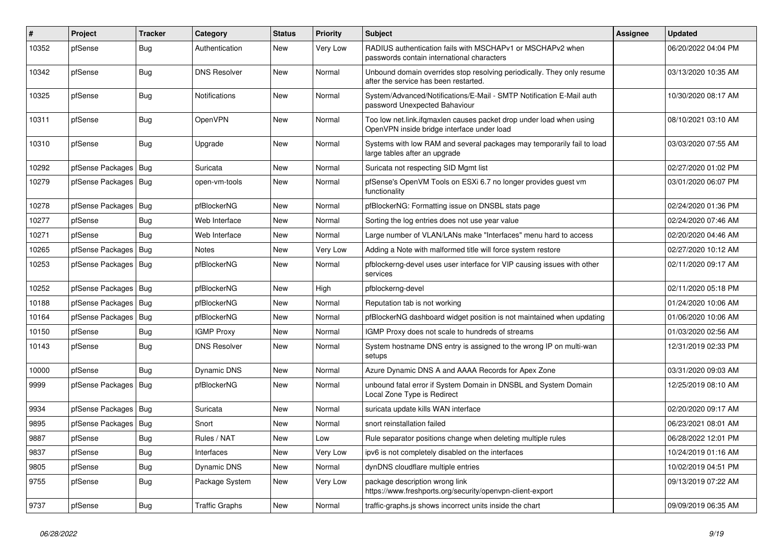| $\vert$ # | Project                | <b>Tracker</b> | Category              | <b>Status</b> | <b>Priority</b> | <b>Subject</b>                                                                                                    | <b>Assignee</b> | <b>Updated</b>      |
|-----------|------------------------|----------------|-----------------------|---------------|-----------------|-------------------------------------------------------------------------------------------------------------------|-----------------|---------------------|
| 10352     | pfSense                | <b>Bug</b>     | Authentication        | New           | Very Low        | RADIUS authentication fails with MSCHAPv1 or MSCHAPv2 when<br>passwords contain international characters          |                 | 06/20/2022 04:04 PM |
| 10342     | pfSense                | <b>Bug</b>     | <b>DNS Resolver</b>   | New           | Normal          | Unbound domain overrides stop resolving periodically. They only resume<br>after the service has been restarted.   |                 | 03/13/2020 10:35 AM |
| 10325     | pfSense                | <b>Bug</b>     | Notifications         | <b>New</b>    | Normal          | System/Advanced/Notifications/E-Mail - SMTP Notification E-Mail auth<br>password Unexpected Bahaviour             |                 | 10/30/2020 08:17 AM |
| 10311     | pfSense                | Bug            | OpenVPN               | New           | Normal          | Too low net.link.ifqmaxlen causes packet drop under load when using<br>OpenVPN inside bridge interface under load |                 | 08/10/2021 03:10 AM |
| 10310     | pfSense                | Bug            | Upgrade               | New           | Normal          | Systems with low RAM and several packages may temporarily fail to load<br>large tables after an upgrade           |                 | 03/03/2020 07:55 AM |
| 10292     | pfSense Packages       | Bug            | Suricata              | New           | Normal          | Suricata not respecting SID Mgmt list                                                                             |                 | 02/27/2020 01:02 PM |
| 10279     | pfSense Packages       | Bug            | open-vm-tools         | New           | Normal          | pfSense's OpenVM Tools on ESXi 6.7 no longer provides guest vm<br>functionality                                   |                 | 03/01/2020 06:07 PM |
| 10278     | pfSense Packages       | <b>Bug</b>     | pfBlockerNG           | New           | Normal          | pfBlockerNG: Formatting issue on DNSBL stats page                                                                 |                 | 02/24/2020 01:36 PM |
| 10277     | pfSense                | Bug            | Web Interface         | New           | Normal          | Sorting the log entries does not use year value                                                                   |                 | 02/24/2020 07:46 AM |
| 10271     | pfSense                | <b>Bug</b>     | Web Interface         | <b>New</b>    | Normal          | Large number of VLAN/LANs make "Interfaces" menu hard to access                                                   |                 | 02/20/2020 04:46 AM |
| 10265     | pfSense Packages       | Bug            | Notes                 | New           | Very Low        | Adding a Note with malformed title will force system restore                                                      |                 | 02/27/2020 10:12 AM |
| 10253     | pfSense Packages   Bug |                | pfBlockerNG           | New           | Normal          | pfblockerng-devel uses user interface for VIP causing issues with other<br>services                               |                 | 02/11/2020 09:17 AM |
| 10252     | pfSense Packages       | Bug            | pfBlockerNG           | New           | High            | pfblockerng-devel                                                                                                 |                 | 02/11/2020 05:18 PM |
| 10188     | pfSense Packages       | Bug            | pfBlockerNG           | New           | Normal          | Reputation tab is not working                                                                                     |                 | 01/24/2020 10:06 AM |
| 10164     | pfSense Packages       | <b>Bug</b>     | pfBlockerNG           | New           | Normal          | pfBlockerNG dashboard widget position is not maintained when updating                                             |                 | 01/06/2020 10:06 AM |
| 10150     | pfSense                | Bug            | <b>IGMP Proxy</b>     | New           | Normal          | IGMP Proxy does not scale to hundreds of streams                                                                  |                 | 01/03/2020 02:56 AM |
| 10143     | pfSense                | Bug            | <b>DNS Resolver</b>   | <b>New</b>    | Normal          | System hostname DNS entry is assigned to the wrong IP on multi-wan<br>setups                                      |                 | 12/31/2019 02:33 PM |
| 10000     | pfSense                | Bug            | <b>Dynamic DNS</b>    | New           | Normal          | Azure Dynamic DNS A and AAAA Records for Apex Zone                                                                |                 | 03/31/2020 09:03 AM |
| 9999      | pfSense Packages       | Bug            | pfBlockerNG           | New           | Normal          | unbound fatal error if System Domain in DNSBL and System Domain<br>Local Zone Type is Redirect                    |                 | 12/25/2019 08:10 AM |
| 9934      | pfSense Packages       | <b>Bug</b>     | Suricata              | <b>New</b>    | Normal          | suricata update kills WAN interface                                                                               |                 | 02/20/2020 09:17 AM |
| 9895      | pfSense Packages       | <b>Bug</b>     | Snort                 | New           | Normal          | snort reinstallation failed                                                                                       |                 | 06/23/2021 08:01 AM |
| 9887      | pfSense                | Bug            | Rules / NAT           | New           | Low             | Rule separator positions change when deleting multiple rules                                                      |                 | 06/28/2022 12:01 PM |
| 9837      | pfSense                | Bug            | Interfaces            | New           | Very Low        | ipv6 is not completely disabled on the interfaces                                                                 |                 | 10/24/2019 01:16 AM |
| 9805      | pfSense                | <b>Bug</b>     | Dynamic DNS           | New           | Normal          | dynDNS cloudflare multiple entries                                                                                |                 | 10/02/2019 04:51 PM |
| 9755      | pfSense                | <b>Bug</b>     | Package System        | New           | Very Low        | package description wrong link<br>https://www.freshports.org/security/openvpn-client-export                       |                 | 09/13/2019 07:22 AM |
| 9737      | pfSense                | Bug            | <b>Traffic Graphs</b> | New           | Normal          | traffic-graphs.js shows incorrect units inside the chart                                                          |                 | 09/09/2019 06:35 AM |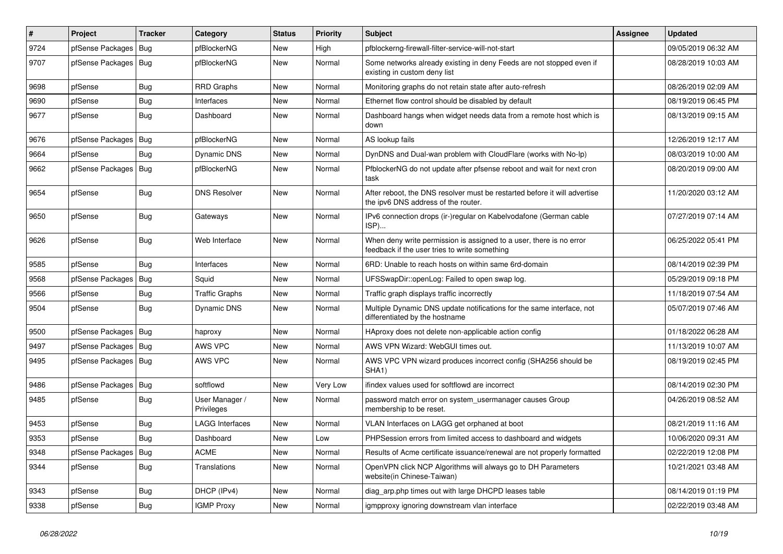| #    | Project                | <b>Tracker</b> | Category                     | <b>Status</b> | <b>Priority</b> | Subject                                                                                                              | <b>Assignee</b> | <b>Updated</b>      |
|------|------------------------|----------------|------------------------------|---------------|-----------------|----------------------------------------------------------------------------------------------------------------------|-----------------|---------------------|
| 9724 | pfSense Packages       | Bug            | pfBlockerNG                  | New           | High            | pfblockerng-firewall-filter-service-will-not-start                                                                   |                 | 09/05/2019 06:32 AM |
| 9707 | pfSense Packages   Bug |                | pfBlockerNG                  | New           | Normal          | Some networks already existing in deny Feeds are not stopped even if<br>existing in custom deny list                 |                 | 08/28/2019 10:03 AM |
| 9698 | pfSense                | <b>Bug</b>     | <b>RRD Graphs</b>            | New           | Normal          | Monitoring graphs do not retain state after auto-refresh                                                             |                 | 08/26/2019 02:09 AM |
| 9690 | pfSense                | <b>Bug</b>     | Interfaces                   | <b>New</b>    | Normal          | Ethernet flow control should be disabled by default                                                                  |                 | 08/19/2019 06:45 PM |
| 9677 | pfSense                | <b>Bug</b>     | Dashboard                    | New           | Normal          | Dashboard hangs when widget needs data from a remote host which is<br>down                                           |                 | 08/13/2019 09:15 AM |
| 9676 | pfSense Packages       | Bug            | pfBlockerNG                  | New           | Normal          | AS lookup fails                                                                                                      |                 | 12/26/2019 12:17 AM |
| 9664 | pfSense                | Bug            | Dynamic DNS                  | New           | Normal          | DynDNS and Dual-wan problem with CloudFlare (works with No-Ip)                                                       |                 | 08/03/2019 10:00 AM |
| 9662 | pfSense Packages   Bug |                | pfBlockerNG                  | <b>New</b>    | Normal          | PfblockerNG do not update after pfsense reboot and wait for next cron<br>task                                        |                 | 08/20/2019 09:00 AM |
| 9654 | pfSense                | Bug            | <b>DNS Resolver</b>          | New           | Normal          | After reboot, the DNS resolver must be restarted before it will advertise<br>the ipv6 DNS address of the router.     |                 | 11/20/2020 03:12 AM |
| 9650 | pfSense                | <b>Bug</b>     | Gateways                     | New           | Normal          | IPv6 connection drops (ir-)regular on Kabelvodafone (German cable<br>ISP)                                            |                 | 07/27/2019 07:14 AM |
| 9626 | pfSense                | <b>Bug</b>     | Web Interface                | New           | Normal          | When deny write permission is assigned to a user, there is no error<br>feedback if the user tries to write something |                 | 06/25/2022 05:41 PM |
| 9585 | pfSense                | <b>Bug</b>     | Interfaces                   | New           | Normal          | 6RD: Unable to reach hosts on within same 6rd-domain                                                                 |                 | 08/14/2019 02:39 PM |
| 9568 | pfSense Packages       | Bug            | Squid                        | New           | Normal          | UFSSwapDir::openLog: Failed to open swap log.                                                                        |                 | 05/29/2019 09:18 PM |
| 9566 | pfSense                | <b>Bug</b>     | <b>Traffic Graphs</b>        | New           | Normal          | Traffic graph displays traffic incorrectly                                                                           |                 | 11/18/2019 07:54 AM |
| 9504 | pfSense                | <b>Bug</b>     | <b>Dynamic DNS</b>           | New           | Normal          | Multiple Dynamic DNS update notifications for the same interface, not<br>differentiated by the hostname              |                 | 05/07/2019 07:46 AM |
| 9500 | pfSense Packages   Bug |                | haproxy                      | New           | Normal          | HAproxy does not delete non-applicable action config                                                                 |                 | 01/18/2022 06:28 AM |
| 9497 | pfSense Packages       | Bug            | AWS VPC                      | New           | Normal          | AWS VPN Wizard: WebGUI times out.                                                                                    |                 | 11/13/2019 10:07 AM |
| 9495 | pfSense Packages   Bug |                | AWS VPC                      | New           | Normal          | AWS VPC VPN wizard produces incorrect config (SHA256 should be<br>SHA1)                                              |                 | 08/19/2019 02:45 PM |
| 9486 | pfSense Packages       | Bug            | softflowd                    | New           | Very Low        | ifindex values used for softflowd are incorrect                                                                      |                 | 08/14/2019 02:30 PM |
| 9485 | pfSense                | <b>Bug</b>     | User Manager /<br>Privileges | New           | Normal          | password match error on system_usermanager causes Group<br>membership to be reset.                                   |                 | 04/26/2019 08:52 AM |
| 9453 | pfSense                | <b>Bug</b>     | <b>LAGG Interfaces</b>       | New           | Normal          | VLAN Interfaces on LAGG get orphaned at boot                                                                         |                 | 08/21/2019 11:16 AM |
| 9353 | pfSense                | <b>Bug</b>     | Dashboard                    | New           | Low             | PHPSession errors from limited access to dashboard and widgets                                                       |                 | 10/06/2020 09:31 AM |
| 9348 | pfSense Packages       | Bug            | <b>ACME</b>                  | New           | Normal          | Results of Acme certificate issuance/renewal are not properly formatted                                              |                 | 02/22/2019 12:08 PM |
| 9344 | pfSense                | <b>Bug</b>     | Translations                 | New           | Normal          | OpenVPN click NCP Algorithms will always go to DH Parameters<br>website(in Chinese-Taiwan)                           |                 | 10/21/2021 03:48 AM |
| 9343 | pfSense                | Bug            | DHCP (IPv4)                  | New           | Normal          | diag_arp.php times out with large DHCPD leases table                                                                 |                 | 08/14/2019 01:19 PM |
| 9338 | pfSense                | Bug            | <b>IGMP Proxy</b>            | New           | Normal          | igmpproxy ignoring downstream vlan interface                                                                         |                 | 02/22/2019 03:48 AM |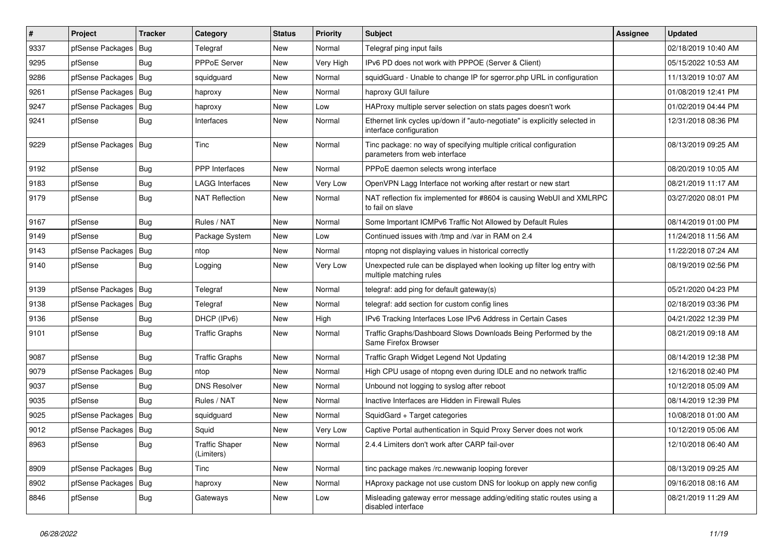| $\pmb{\sharp}$ | Project                | <b>Tracker</b> | Category                     | <b>Status</b> | <b>Priority</b> | Subject                                                                                               | Assignee | <b>Updated</b>      |
|----------------|------------------------|----------------|------------------------------|---------------|-----------------|-------------------------------------------------------------------------------------------------------|----------|---------------------|
| 9337           | pfSense Packages       | Bug            | Telegraf                     | New           | Normal          | Telegraf ping input fails                                                                             |          | 02/18/2019 10:40 AM |
| 9295           | pfSense                | Bug            | <b>PPPoE Server</b>          | New           | Very High       | IPv6 PD does not work with PPPOE (Server & Client)                                                    |          | 05/15/2022 10:53 AM |
| 9286           | pfSense Packages       | Bug            | squidguard                   | New           | Normal          | squidGuard - Unable to change IP for sgerror.php URL in configuration                                 |          | 11/13/2019 10:07 AM |
| 9261           | pfSense Packages   Bug |                | haproxy                      | New           | Normal          | haproxy GUI failure                                                                                   |          | 01/08/2019 12:41 PM |
| 9247           | pfSense Packages       | Bug            | haproxy                      | New           | Low             | HAProxy multiple server selection on stats pages doesn't work                                         |          | 01/02/2019 04:44 PM |
| 9241           | pfSense                | <b>Bug</b>     | Interfaces                   | New           | Normal          | Ethernet link cycles up/down if "auto-negotiate" is explicitly selected in<br>interface configuration |          | 12/31/2018 08:36 PM |
| 9229           | pfSense Packages       | Bug            | <b>Tinc</b>                  | <b>New</b>    | Normal          | Tinc package: no way of specifying multiple critical configuration<br>parameters from web interface   |          | 08/13/2019 09:25 AM |
| 9192           | pfSense                | Bug            | <b>PPP</b> Interfaces        | New           | Normal          | PPPoE daemon selects wrong interface                                                                  |          | 08/20/2019 10:05 AM |
| 9183           | pfSense                | <b>Bug</b>     | <b>LAGG Interfaces</b>       | New           | Very Low        | OpenVPN Lagg Interface not working after restart or new start                                         |          | 08/21/2019 11:17 AM |
| 9179           | pfSense                | Bug            | <b>NAT Reflection</b>        | New           | Normal          | NAT reflection fix implemented for #8604 is causing WebUI and XMLRPC<br>to fail on slave              |          | 03/27/2020 08:01 PM |
| 9167           | pfSense                | <b>Bug</b>     | Rules / NAT                  | New           | Normal          | Some Important ICMPv6 Traffic Not Allowed by Default Rules                                            |          | 08/14/2019 01:00 PM |
| 9149           | pfSense                | Bug            | Package System               | New           | Low             | Continued issues with /tmp and /var in RAM on 2.4                                                     |          | 11/24/2018 11:56 AM |
| 9143           | pfSense Packages       | Bug            | ntop                         | <b>New</b>    | Normal          | ntopng not displaying values in historical correctly                                                  |          | 11/22/2018 07:24 AM |
| 9140           | pfSense                | <b>Bug</b>     | Logging                      | New           | Very Low        | Unexpected rule can be displayed when looking up filter log entry with<br>multiple matching rules     |          | 08/19/2019 02:56 PM |
| 9139           | pfSense Packages       | Bug            | Telegraf                     | New           | Normal          | telegraf: add ping for default gateway(s)                                                             |          | 05/21/2020 04:23 PM |
| 9138           | pfSense Packages       | Bug            | Telegraf                     | <b>New</b>    | Normal          | telegraf: add section for custom config lines                                                         |          | 02/18/2019 03:36 PM |
| 9136           | pfSense                | Bug            | DHCP (IPv6)                  | New           | High            | IPv6 Tracking Interfaces Lose IPv6 Address in Certain Cases                                           |          | 04/21/2022 12:39 PM |
| 9101           | pfSense                | <b>Bug</b>     | <b>Traffic Graphs</b>        | New           | Normal          | Traffic Graphs/Dashboard Slows Downloads Being Performed by the<br>Same Firefox Browser               |          | 08/21/2019 09:18 AM |
| 9087           | pfSense                | Bug            | <b>Traffic Graphs</b>        | New           | Normal          | Traffic Graph Widget Legend Not Updating                                                              |          | 08/14/2019 12:38 PM |
| 9079           | pfSense Packages       | Bug            | ntop                         | New           | Normal          | High CPU usage of ntopng even during IDLE and no network traffic                                      |          | 12/16/2018 02:40 PM |
| 9037           | pfSense                | <b>Bug</b>     | <b>DNS Resolver</b>          | New           | Normal          | Unbound not logging to syslog after reboot                                                            |          | 10/12/2018 05:09 AM |
| 9035           | pfSense                | Bug            | Rules / NAT                  | New           | Normal          | Inactive Interfaces are Hidden in Firewall Rules                                                      |          | 08/14/2019 12:39 PM |
| 9025           | pfSense Packages   Bug |                | squidguard                   | New           | Normal          | SquidGard + Target categories                                                                         |          | 10/08/2018 01:00 AM |
| 9012           | pfSense Packages   Bug |                | Squid                        | New           | Very Low        | Captive Portal authentication in Squid Proxy Server does not work                                     |          | 10/12/2019 05:06 AM |
| 8963           | pfSense                | Bug            | Traffic Shaper<br>(Limiters) | New           | Normal          | 2.4.4 Limiters don't work after CARP fail-over                                                        |          | 12/10/2018 06:40 AM |
| 8909           | pfSense Packages   Bug |                | Tinc                         | New           | Normal          | tinc package makes /rc.newwanip looping forever                                                       |          | 08/13/2019 09:25 AM |
| 8902           | pfSense Packages   Bug |                | haproxy                      | New           | Normal          | HAproxy package not use custom DNS for lookup on apply new config                                     |          | 09/16/2018 08:16 AM |
| 8846           | pfSense                | <b>Bug</b>     | Gateways                     | New           | Low             | Misleading gateway error message adding/editing static routes using a<br>disabled interface           |          | 08/21/2019 11:29 AM |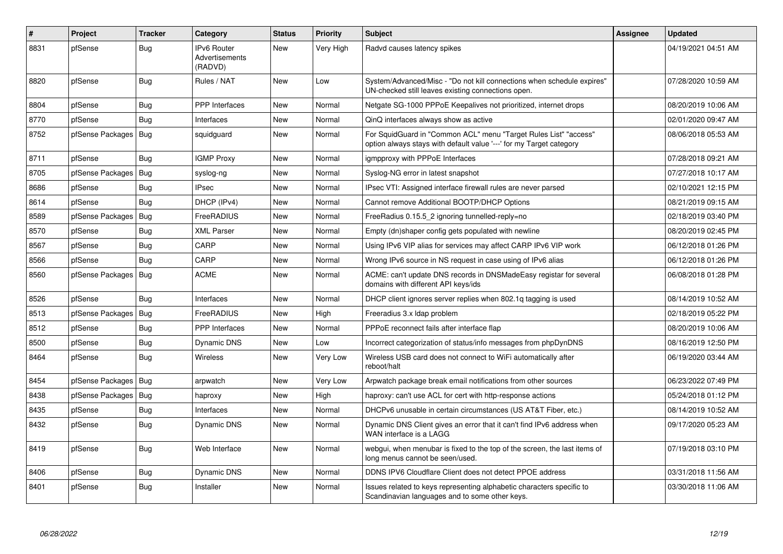| $\vert$ # | Project          | <b>Tracker</b> | Category                                        | <b>Status</b> | <b>Priority</b> | <b>Subject</b>                                                                                                                          | <b>Assignee</b> | <b>Updated</b>      |
|-----------|------------------|----------------|-------------------------------------------------|---------------|-----------------|-----------------------------------------------------------------------------------------------------------------------------------------|-----------------|---------------------|
| 8831      | pfSense          | Bug            | <b>IPv6 Router</b><br>Advertisements<br>(RADVD) | <b>New</b>    | Very High       | Radvd causes latency spikes                                                                                                             |                 | 04/19/2021 04:51 AM |
| 8820      | pfSense          | <b>Bug</b>     | Rules / NAT                                     | New           | Low             | System/Advanced/Misc - "Do not kill connections when schedule expires"<br>UN-checked still leaves existing connections open.            |                 | 07/28/2020 10:59 AM |
| 8804      | pfSense          | Bug            | PPP Interfaces                                  | New           | Normal          | Netgate SG-1000 PPPoE Keepalives not prioritized, internet drops                                                                        |                 | 08/20/2019 10:06 AM |
| 8770      | pfSense          | Bug            | Interfaces                                      | New           | Normal          | QinQ interfaces always show as active                                                                                                   |                 | 02/01/2020 09:47 AM |
| 8752      | pfSense Packages | Bug            | squidguard                                      | <b>New</b>    | Normal          | For SquidGuard in "Common ACL" menu "Target Rules List" "access"<br>option always stays with default value '---' for my Target category |                 | 08/06/2018 05:53 AM |
| 8711      | pfSense          | Bug            | <b>IGMP Proxy</b>                               | <b>New</b>    | Normal          | igmpproxy with PPPoE Interfaces                                                                                                         |                 | 07/28/2018 09:21 AM |
| 8705      | pfSense Packages | Bug            | syslog-ng                                       | <b>New</b>    | Normal          | Syslog-NG error in latest snapshot                                                                                                      |                 | 07/27/2018 10:17 AM |
| 8686      | pfSense          | Bug            | <b>IPsec</b>                                    | <b>New</b>    | Normal          | IPsec VTI: Assigned interface firewall rules are never parsed                                                                           |                 | 02/10/2021 12:15 PM |
| 8614      | pfSense          | Bug            | DHCP (IPv4)                                     | <b>New</b>    | Normal          | Cannot remove Additional BOOTP/DHCP Options                                                                                             |                 | 08/21/2019 09:15 AM |
| 8589      | pfSense Packages | <b>Bug</b>     | FreeRADIUS                                      | <b>New</b>    | Normal          | FreeRadius 0.15.5_2 ignoring tunnelled-reply=no                                                                                         |                 | 02/18/2019 03:40 PM |
| 8570      | pfSense          | <b>Bug</b>     | <b>XML Parser</b>                               | New           | Normal          | Empty (dn)shaper config gets populated with newline                                                                                     |                 | 08/20/2019 02:45 PM |
| 8567      | pfSense          | <b>Bug</b>     | CARP                                            | New           | Normal          | Using IPv6 VIP alias for services may affect CARP IPv6 VIP work                                                                         |                 | 06/12/2018 01:26 PM |
| 8566      | pfSense          | Bug            | CARP                                            | New           | Normal          | Wrong IPv6 source in NS request in case using of IPv6 alias                                                                             |                 | 06/12/2018 01:26 PM |
| 8560      | pfSense Packages | Bug            | <b>ACME</b>                                     | <b>New</b>    | Normal          | ACME: can't update DNS records in DNSMadeEasy registar for several<br>domains with different API keys/ids                               |                 | 06/08/2018 01:28 PM |
| 8526      | pfSense          | Bug            | Interfaces                                      | New           | Normal          | DHCP client ignores server replies when 802.1g tagging is used                                                                          |                 | 08/14/2019 10:52 AM |
| 8513      | pfSense Packages | Bug            | FreeRADIUS                                      | <b>New</b>    | High            | Freeradius 3.x Idap problem                                                                                                             |                 | 02/18/2019 05:22 PM |
| 8512      | pfSense          | Bug            | <b>PPP</b> Interfaces                           | <b>New</b>    | Normal          | PPPoE reconnect fails after interface flap                                                                                              |                 | 08/20/2019 10:06 AM |
| 8500      | pfSense          | <b>Bug</b>     | <b>Dynamic DNS</b>                              | <b>New</b>    | Low             | Incorrect categorization of status/info messages from phpDynDNS                                                                         |                 | 08/16/2019 12:50 PM |
| 8464      | pfSense          | Bug            | Wireless                                        | <b>New</b>    | Very Low        | Wireless USB card does not connect to WiFi automatically after<br>reboot/halt                                                           |                 | 06/19/2020 03:44 AM |
| 8454      | pfSense Packages | Bug            | arpwatch                                        | <b>New</b>    | Very Low        | Arpwatch package break email notifications from other sources                                                                           |                 | 06/23/2022 07:49 PM |
| 8438      | pfSense Packages | <b>Bug</b>     | haproxy                                         | New           | High            | haproxy: can't use ACL for cert with http-response actions                                                                              |                 | 05/24/2018 01:12 PM |
| 8435      | pfSense          | <b>Bug</b>     | Interfaces                                      | New           | Normal          | DHCPv6 unusable in certain circumstances (US AT&T Fiber, etc.)                                                                          |                 | 08/14/2019 10:52 AM |
| 8432      | pfSense          | <b>Bug</b>     | <b>Dynamic DNS</b>                              | New           | Normal          | Dynamic DNS Client gives an error that it can't find IPv6 address when<br>WAN interface is a LAGG                                       |                 | 09/17/2020 05:23 AM |
| 8419      | pfSense          | <b>Bug</b>     | Web Interface                                   | New           | Normal          | webgui, when menubar is fixed to the top of the screen, the last items of<br>long menus cannot be seen/used.                            |                 | 07/19/2018 03:10 PM |
| 8406      | pfSense          | Bug            | <b>Dynamic DNS</b>                              | <b>New</b>    | Normal          | DDNS IPV6 Cloudflare Client does not detect PPOE address                                                                                |                 | 03/31/2018 11:56 AM |
| 8401      | pfSense          | <b>Bug</b>     | Installer                                       | <b>New</b>    | Normal          | Issues related to keys representing alphabetic characters specific to<br>Scandinavian languages and to some other keys.                 |                 | 03/30/2018 11:06 AM |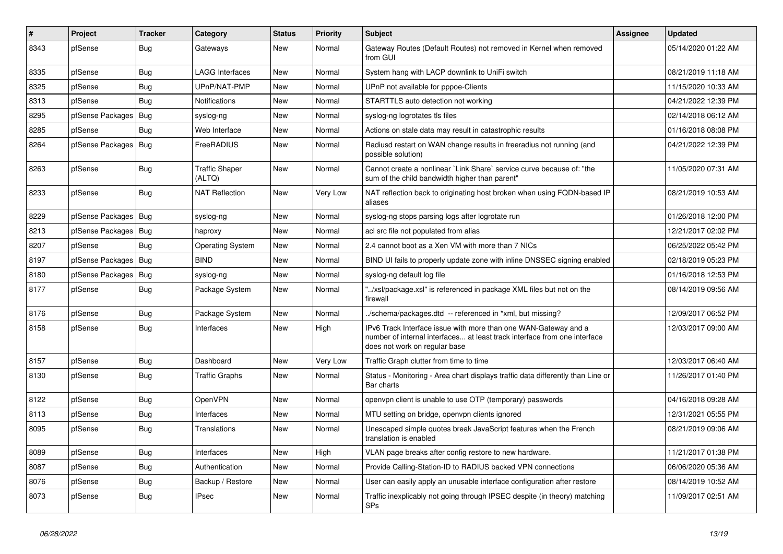| $\vert$ # | Project                | <b>Tracker</b> | Category                        | <b>Status</b> | <b>Priority</b> | Subject                                                                                                                                                                       | Assignee | <b>Updated</b>      |
|-----------|------------------------|----------------|---------------------------------|---------------|-----------------|-------------------------------------------------------------------------------------------------------------------------------------------------------------------------------|----------|---------------------|
| 8343      | pfSense                | <b>Bug</b>     | Gateways                        | New           | Normal          | Gateway Routes (Default Routes) not removed in Kernel when removed<br>from GUI                                                                                                |          | 05/14/2020 01:22 AM |
| 8335      | pfSense                | Bug            | <b>LAGG Interfaces</b>          | New           | Normal          | System hang with LACP downlink to UniFi switch                                                                                                                                |          | 08/21/2019 11:18 AM |
| 8325      | pfSense                | Bug            | UPnP/NAT-PMP                    | New           | Normal          | UPnP not available for pppoe-Clients                                                                                                                                          |          | 11/15/2020 10:33 AM |
| 8313      | pfSense                | <b>Bug</b>     | Notifications                   | New           | Normal          | STARTTLS auto detection not working                                                                                                                                           |          | 04/21/2022 12:39 PM |
| 8295      | pfSense Packages       | Bug            | syslog-ng                       | New           | Normal          | syslog-ng logrotates tls files                                                                                                                                                |          | 02/14/2018 06:12 AM |
| 8285      | pfSense                | Bug            | Web Interface                   | New           | Normal          | Actions on stale data may result in catastrophic results                                                                                                                      |          | 01/16/2018 08:08 PM |
| 8264      | pfSense Packages       | Bug            | FreeRADIUS                      | New           | Normal          | Radiusd restart on WAN change results in freeradius not running (and<br>possible solution)                                                                                    |          | 04/21/2022 12:39 PM |
| 8263      | pfSense                | Bug            | <b>Traffic Shaper</b><br>(ALTQ) | New           | Normal          | Cannot create a nonlinear `Link Share` service curve because of: "the<br>sum of the child bandwidth higher than parent"                                                       |          | 11/05/2020 07:31 AM |
| 8233      | pfSense                | Bug            | <b>NAT Reflection</b>           | New           | Very Low        | NAT reflection back to originating host broken when using FQDN-based IP<br>aliases                                                                                            |          | 08/21/2019 10:53 AM |
| 8229      | pfSense Packages   Bug |                | syslog-ng                       | New           | Normal          | syslog-ng stops parsing logs after logrotate run                                                                                                                              |          | 01/26/2018 12:00 PM |
| 8213      | pfSense Packages   Bug |                | haproxy                         | New           | Normal          | acl src file not populated from alias                                                                                                                                         |          | 12/21/2017 02:02 PM |
| 8207      | pfSense                | Bug            | <b>Operating System</b>         | New           | Normal          | 2.4 cannot boot as a Xen VM with more than 7 NICs                                                                                                                             |          | 06/25/2022 05:42 PM |
| 8197      | pfSense Packages       | Bug            | <b>BIND</b>                     | New           | Normal          | BIND UI fails to properly update zone with inline DNSSEC signing enabled                                                                                                      |          | 02/18/2019 05:23 PM |
| 8180      | pfSense Packages   Bug |                | syslog-ng                       | New           | Normal          | syslog-ng default log file                                                                                                                                                    |          | 01/16/2018 12:53 PM |
| 8177      | pfSense                | Bug            | Package System                  | New           | Normal          | "/xsl/package.xsl" is referenced in package XML files but not on the<br>firewall                                                                                              |          | 08/14/2019 09:56 AM |
| 8176      | pfSense                | <b>Bug</b>     | Package System                  | New           | Normal          | ./schema/packages.dtd -- referenced in *xml, but missing?                                                                                                                     |          | 12/09/2017 06:52 PM |
| 8158      | pfSense                | Bug            | Interfaces                      | New           | High            | IPv6 Track Interface issue with more than one WAN-Gateway and a<br>number of internal interfaces at least track interface from one interface<br>does not work on regular base |          | 12/03/2017 09:00 AM |
| 8157      | pfSense                | <b>Bug</b>     | Dashboard                       | New           | Very Low        | Traffic Graph clutter from time to time                                                                                                                                       |          | 12/03/2017 06:40 AM |
| 8130      | pfSense                | Bug            | <b>Traffic Graphs</b>           | New           | Normal          | Status - Monitoring - Area chart displays traffic data differently than Line or<br>Bar charts                                                                                 |          | 11/26/2017 01:40 PM |
| 8122      | pfSense                | <b>Bug</b>     | <b>OpenVPN</b>                  | New           | Normal          | openvpn client is unable to use OTP (temporary) passwords                                                                                                                     |          | 04/16/2018 09:28 AM |
| 8113      | pfSense                | <b>Bug</b>     | Interfaces                      | <b>New</b>    | Normal          | MTU setting on bridge, openvpn clients ignored                                                                                                                                |          | 12/31/2021 05:55 PM |
| 8095      | pfSense                | Bug            | Translations                    | New           | Normal          | Unescaped simple quotes break JavaScript features when the French<br>translation is enabled                                                                                   |          | 08/21/2019 09:06 AM |
| 8089      | pfSense                | <b>Bug</b>     | Interfaces                      | New           | High            | VLAN page breaks after config restore to new hardware.                                                                                                                        |          | 11/21/2017 01:38 PM |
| 8087      | pfSense                | <b>Bug</b>     | Authentication                  | New           | Normal          | Provide Calling-Station-ID to RADIUS backed VPN connections                                                                                                                   |          | 06/06/2020 05:36 AM |
| 8076      | pfSense                | Bug            | Backup / Restore                | New           | Normal          | User can easily apply an unusable interface configuration after restore                                                                                                       |          | 08/14/2019 10:52 AM |
| 8073      | pfSense                | <b>Bug</b>     | <b>IPsec</b>                    | New           | Normal          | Traffic inexplicably not going through IPSEC despite (in theory) matching<br>SPs                                                                                              |          | 11/09/2017 02:51 AM |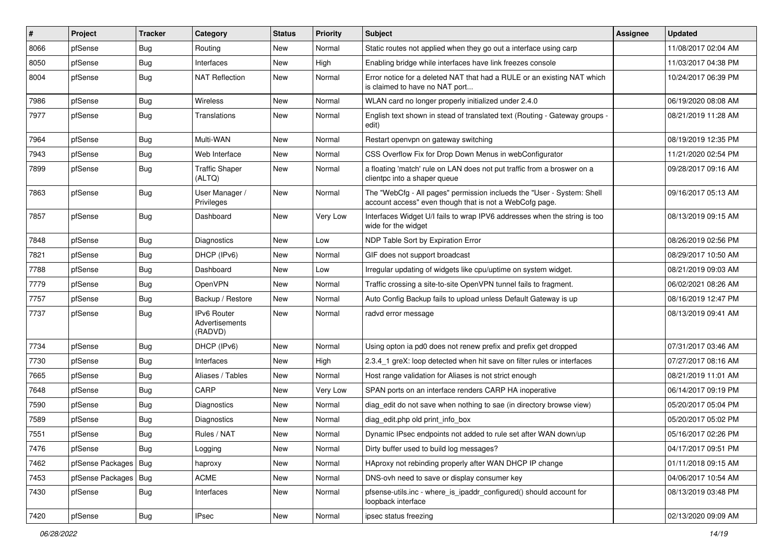| #    | Project                | <b>Tracker</b> | Category                                        | <b>Status</b> | <b>Priority</b> | Subject                                                                                                                           | <b>Assignee</b> | Updated             |
|------|------------------------|----------------|-------------------------------------------------|---------------|-----------------|-----------------------------------------------------------------------------------------------------------------------------------|-----------------|---------------------|
| 8066 | pfSense                | <b>Bug</b>     | Routing                                         | New           | Normal          | Static routes not applied when they go out a interface using carp                                                                 |                 | 11/08/2017 02:04 AM |
| 8050 | pfSense                | Bug            | Interfaces                                      | <b>New</b>    | High            | Enabling bridge while interfaces have link freezes console                                                                        |                 | 11/03/2017 04:38 PM |
| 8004 | pfSense                | Bug            | <b>NAT Reflection</b>                           | New           | Normal          | Error notice for a deleted NAT that had a RULE or an existing NAT which<br>is claimed to have no NAT port                         |                 | 10/24/2017 06:39 PM |
| 7986 | pfSense                | Bug            | Wireless                                        | <b>New</b>    | Normal          | WLAN card no longer properly initialized under 2.4.0                                                                              |                 | 06/19/2020 08:08 AM |
| 7977 | pfSense                | <b>Bug</b>     | Translations                                    | New           | Normal          | English text shown in stead of translated text (Routing - Gateway groups -<br>edit)                                               |                 | 08/21/2019 11:28 AM |
| 7964 | pfSense                | <b>Bug</b>     | Multi-WAN                                       | <b>New</b>    | Normal          | Restart openypn on gateway switching                                                                                              |                 | 08/19/2019 12:35 PM |
| 7943 | pfSense                | Bug            | Web Interface                                   | <b>New</b>    | Normal          | CSS Overflow Fix for Drop Down Menus in webConfigurator                                                                           |                 | 11/21/2020 02:54 PM |
| 7899 | pfSense                | <b>Bug</b>     | <b>Traffic Shaper</b><br>(ALTQ)                 | <b>New</b>    | Normal          | a floating 'match' rule on LAN does not put traffic from a broswer on a<br>clientpc into a shaper queue                           |                 | 09/28/2017 09:16 AM |
| 7863 | pfSense                | Bug            | User Manager /<br>Privileges                    | New           | Normal          | The "WebCfg - All pages" permission inclueds the "User - System: Shell<br>account access" even though that is not a WebCofg page. |                 | 09/16/2017 05:13 AM |
| 7857 | pfSense                | Bug            | Dashboard                                       | New           | Very Low        | Interfaces Widget U/I fails to wrap IPV6 addresses when the string is too<br>wide for the widget                                  |                 | 08/13/2019 09:15 AM |
| 7848 | pfSense                | Bug            | Diagnostics                                     | <b>New</b>    | Low             | NDP Table Sort by Expiration Error                                                                                                |                 | 08/26/2019 02:56 PM |
| 7821 | pfSense                | <b>Bug</b>     | DHCP (IPv6)                                     | New           | Normal          | GIF does not support broadcast                                                                                                    |                 | 08/29/2017 10:50 AM |
| 7788 | pfSense                | Bug            | Dashboard                                       | New           | Low             | Irregular updating of widgets like cpu/uptime on system widget.                                                                   |                 | 08/21/2019 09:03 AM |
| 7779 | pfSense                | <b>Bug</b>     | OpenVPN                                         | New           | Normal          | Traffic crossing a site-to-site OpenVPN tunnel fails to fragment.                                                                 |                 | 06/02/2021 08:26 AM |
| 7757 | pfSense                | Bug            | Backup / Restore                                | New           | Normal          | Auto Config Backup fails to upload unless Default Gateway is up                                                                   |                 | 08/16/2019 12:47 PM |
| 7737 | pfSense                | Bug            | <b>IPv6 Router</b><br>Advertisements<br>(RADVD) | <b>New</b>    | Normal          | radvd error message                                                                                                               |                 | 08/13/2019 09:41 AM |
| 7734 | pfSense                | <b>Bug</b>     | DHCP (IPv6)                                     | New           | Normal          | Using opton ia pd0 does not renew prefix and prefix get dropped                                                                   |                 | 07/31/2017 03:46 AM |
| 7730 | pfSense                | <b>Bug</b>     | Interfaces                                      | New           | High            | 2.3.4 1 greX: loop detected when hit save on filter rules or interfaces                                                           |                 | 07/27/2017 08:16 AM |
| 7665 | pfSense                | Bug            | Aliases / Tables                                | <b>New</b>    | Normal          | Host range validation for Aliases is not strict enough                                                                            |                 | 08/21/2019 11:01 AM |
| 7648 | pfSense                | <b>Bug</b>     | CARP                                            | New           | Very Low        | SPAN ports on an interface renders CARP HA inoperative                                                                            |                 | 06/14/2017 09:19 PM |
| 7590 | pfSense                | <b>Bug</b>     | <b>Diagnostics</b>                              | New           | Normal          | diag_edit do not save when nothing to sae (in directory browse view)                                                              |                 | 05/20/2017 05:04 PM |
| 7589 | pfSense                | <b>Bug</b>     | <b>Diagnostics</b>                              | <b>New</b>    | Normal          | diag edit.php old print info box                                                                                                  |                 | 05/20/2017 05:02 PM |
| 7551 | pfSense                | <b>Bug</b>     | Rules / NAT                                     | New           | Normal          | Dynamic IPsec endpoints not added to rule set after WAN down/up                                                                   |                 | 05/16/2017 02:26 PM |
| 7476 | pfSense                | <b>Bug</b>     | Logging                                         | New           | Normal          | Dirty buffer used to build log messages?                                                                                          |                 | 04/17/2017 09:51 PM |
| 7462 | pfSense Packages   Bug |                | haproxy                                         | New           | Normal          | HAproxy not rebinding properly after WAN DHCP IP change                                                                           |                 | 01/11/2018 09:15 AM |
| 7453 | pfSense Packages   Bug |                | <b>ACME</b>                                     | New           | Normal          | DNS-ovh need to save or display consumer key                                                                                      |                 | 04/06/2017 10:54 AM |
| 7430 | pfSense                | <b>Bug</b>     | Interfaces                                      | New           | Normal          | pfsense-utils.inc - where is ipaddr configured() should account for<br>loopback interface                                         |                 | 08/13/2019 03:48 PM |
| 7420 | pfSense                | Bug            | <b>IPsec</b>                                    | New           | Normal          | ipsec status freezing                                                                                                             |                 | 02/13/2020 09:09 AM |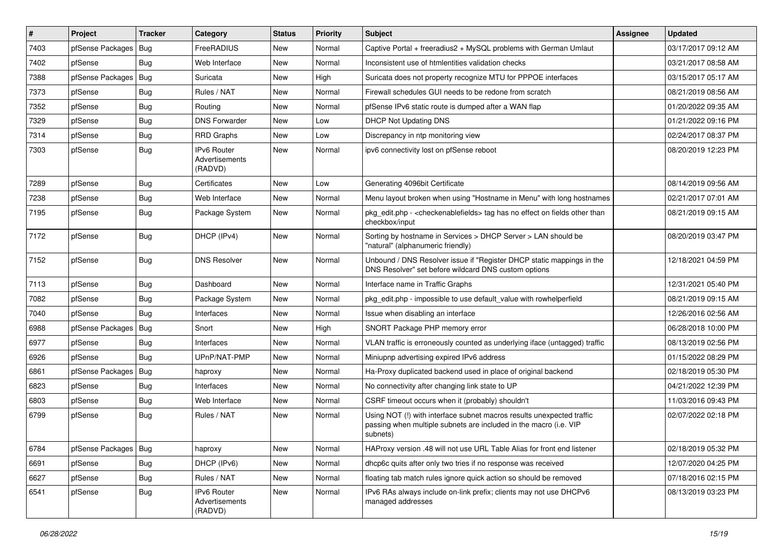| $\pmb{\sharp}$ | Project                | <b>Tracker</b> | Category                                        | <b>Status</b> | <b>Priority</b> | <b>Subject</b>                                                                                                                                         | Assignee | <b>Updated</b>      |
|----------------|------------------------|----------------|-------------------------------------------------|---------------|-----------------|--------------------------------------------------------------------------------------------------------------------------------------------------------|----------|---------------------|
| 7403           | pfSense Packages       | Bug            | FreeRADIUS                                      | New           | Normal          | Captive Portal + freeradius2 + MySQL problems with German Umlaut                                                                                       |          | 03/17/2017 09:12 AM |
| 7402           | pfSense                | Bug            | Web Interface                                   | <b>New</b>    | Normal          | Inconsistent use of htmlentities validation checks                                                                                                     |          | 03/21/2017 08:58 AM |
| 7388           | pfSense Packages       | Bug            | Suricata                                        | New           | High            | Suricata does not property recognize MTU for PPPOE interfaces                                                                                          |          | 03/15/2017 05:17 AM |
| 7373           | pfSense                | <b>Bug</b>     | Rules / NAT                                     | New           | Normal          | Firewall schedules GUI needs to be redone from scratch                                                                                                 |          | 08/21/2019 08:56 AM |
| 7352           | pfSense                | <b>Bug</b>     | Routing                                         | New           | Normal          | pfSense IPv6 static route is dumped after a WAN flap                                                                                                   |          | 01/20/2022 09:35 AM |
| 7329           | pfSense                | <b>Bug</b>     | <b>DNS Forwarder</b>                            | New           | Low             | DHCP Not Updating DNS                                                                                                                                  |          | 01/21/2022 09:16 PM |
| 7314           | pfSense                | Bug            | <b>RRD Graphs</b>                               | New           | Low             | Discrepancy in ntp monitoring view                                                                                                                     |          | 02/24/2017 08:37 PM |
| 7303           | pfSense                | Bug            | IPv6 Router<br>Advertisements<br>(RADVD)        | New           | Normal          | ipv6 connectivity lost on pfSense reboot                                                                                                               |          | 08/20/2019 12:23 PM |
| 7289           | pfSense                | <b>Bug</b>     | Certificates                                    | New           | Low             | Generating 4096bit Certificate                                                                                                                         |          | 08/14/2019 09:56 AM |
| 7238           | pfSense                | <b>Bug</b>     | Web Interface                                   | New           | Normal          | Menu layout broken when using "Hostname in Menu" with long hostnames                                                                                   |          | 02/21/2017 07:01 AM |
| 7195           | pfSense                | Bug            | Package System                                  | New           | Normal          | pkg_edit.php - < checkenablefields> tag has no effect on fields other than<br>checkbox/input                                                           |          | 08/21/2019 09:15 AM |
| 7172           | pfSense                | Bug            | DHCP (IPv4)                                     | New           | Normal          | Sorting by hostname in Services > DHCP Server > LAN should be<br>"natural" (alphanumeric friendly)                                                     |          | 08/20/2019 03:47 PM |
| 7152           | pfSense                | <b>Bug</b>     | <b>DNS Resolver</b>                             | New           | Normal          | Unbound / DNS Resolver issue if "Register DHCP static mappings in the<br>DNS Resolver" set before wildcard DNS custom options                          |          | 12/18/2021 04:59 PM |
| 7113           | pfSense                | <b>Bug</b>     | Dashboard                                       | <b>New</b>    | Normal          | Interface name in Traffic Graphs                                                                                                                       |          | 12/31/2021 05:40 PM |
| 7082           | pfSense                | <b>Bug</b>     | Package System                                  | New           | Normal          | pkg_edit.php - impossible to use default_value with rowhelperfield                                                                                     |          | 08/21/2019 09:15 AM |
| 7040           | pfSense                | Bug            | Interfaces                                      | New           | Normal          | Issue when disabling an interface                                                                                                                      |          | 12/26/2016 02:56 AM |
| 6988           | pfSense Packages       | Bug            | Snort                                           | New           | High            | SNORT Package PHP memory error                                                                                                                         |          | 06/28/2018 10:00 PM |
| 6977           | pfSense                | Bug            | Interfaces                                      | New           | Normal          | VLAN traffic is erroneously counted as underlying iface (untagged) traffic                                                                             |          | 08/13/2019 02:56 PM |
| 6926           | pfSense                | Bug            | UPnP/NAT-PMP                                    | New           | Normal          | Miniupnp advertising expired IPv6 address                                                                                                              |          | 01/15/2022 08:29 PM |
| 6861           | pfSense Packages       | Bug            | haproxy                                         | New           | Normal          | Ha-Proxy duplicated backend used in place of original backend                                                                                          |          | 02/18/2019 05:30 PM |
| 6823           | pfSense                | <b>Bug</b>     | Interfaces                                      | New           | Normal          | No connectivity after changing link state to UP                                                                                                        |          | 04/21/2022 12:39 PM |
| 6803           | pfSense                | Bug            | Web Interface                                   | New           | Normal          | CSRF timeout occurs when it (probably) shouldn't                                                                                                       |          | 11/03/2016 09:43 PM |
| 6799           | pfSense                | Bug            | Rules / NAT                                     | New           | Normal          | Using NOT (!) with interface subnet macros results unexpected traffic<br>passing when multiple subnets are included in the macro (i.e. VIP<br>subnets) |          | 02/07/2022 02:18 PM |
| 6784           | pfSense Packages   Bug |                | haproxy                                         | New           | Normal          | HAProxy version .48 will not use URL Table Alias for front end listener                                                                                |          | 02/18/2019 05:32 PM |
| 6691           | pfSense                | <b>Bug</b>     | DHCP (IPv6)                                     | New           | Normal          | dhcp6c quits after only two tries if no response was received                                                                                          |          | 12/07/2020 04:25 PM |
| 6627           | pfSense                | Bug            | Rules / NAT                                     | New           | Normal          | floating tab match rules ignore quick action so should be removed                                                                                      |          | 07/18/2016 02:15 PM |
| 6541           | pfSense                | <b>Bug</b>     | <b>IPv6 Router</b><br>Advertisements<br>(RADVD) | New           | Normal          | IPv6 RAs always include on-link prefix; clients may not use DHCPv6<br>managed addresses                                                                |          | 08/13/2019 03:23 PM |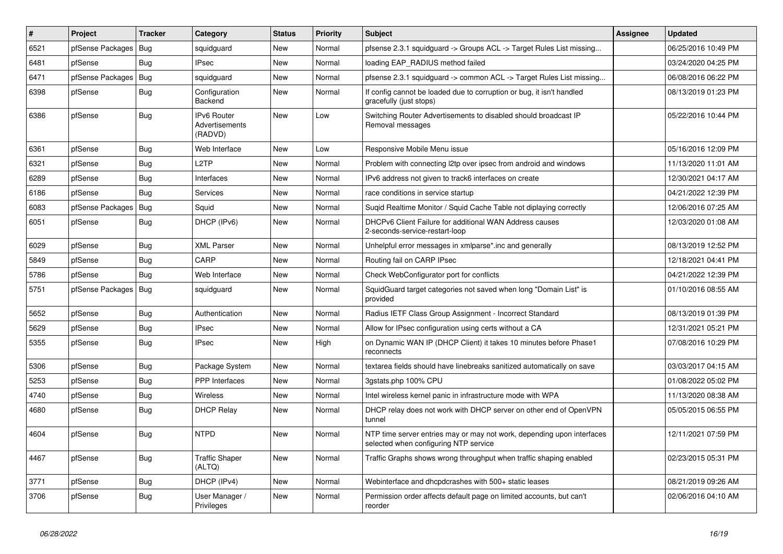| $\vert$ # | Project          | <b>Tracker</b> | Category                                 | <b>Status</b> | <b>Priority</b> | Subject                                                                                                         | <b>Assignee</b> | <b>Updated</b>      |
|-----------|------------------|----------------|------------------------------------------|---------------|-----------------|-----------------------------------------------------------------------------------------------------------------|-----------------|---------------------|
| 6521      | pfSense Packages | Bug            | squidguard                               | New           | Normal          | pfsense 2.3.1 squidguard -> Groups ACL -> Target Rules List missing                                             |                 | 06/25/2016 10:49 PM |
| 6481      | pfSense          | Bug            | <b>IPsec</b>                             | New           | Normal          | loading EAP_RADIUS method failed                                                                                |                 | 03/24/2020 04:25 PM |
| 6471      | pfSense Packages | Bug            | squidguard                               | New           | Normal          | pfsense 2.3.1 squidguard -> common ACL -> Target Rules List missing                                             |                 | 06/08/2016 06:22 PM |
| 6398      | pfSense          | <b>Bug</b>     | Configuration<br>Backend                 | New           | Normal          | If config cannot be loaded due to corruption or bug, it isn't handled<br>gracefully (just stops)                |                 | 08/13/2019 01:23 PM |
| 6386      | pfSense          | Bug            | IPv6 Router<br>Advertisements<br>(RADVD) | New           | Low             | Switching Router Advertisements to disabled should broadcast IP<br>Removal messages                             |                 | 05/22/2016 10:44 PM |
| 6361      | pfSense          | <b>Bug</b>     | Web Interface                            | New           | Low             | Responsive Mobile Menu issue                                                                                    |                 | 05/16/2016 12:09 PM |
| 6321      | pfSense          | Bug            | L <sub>2</sub> TP                        | New           | Normal          | Problem with connecting I2tp over ipsec from android and windows                                                |                 | 11/13/2020 11:01 AM |
| 6289      | pfSense          | <b>Bug</b>     | Interfaces                               | New           | Normal          | IPv6 address not given to track6 interfaces on create                                                           |                 | 12/30/2021 04:17 AM |
| 6186      | pfSense          | Bug            | Services                                 | New           | Normal          | race conditions in service startup                                                                              |                 | 04/21/2022 12:39 PM |
| 6083      | pfSense Packages | Bug            | Squid                                    | New           | Normal          | Sugid Realtime Monitor / Squid Cache Table not diplaying correctly                                              |                 | 12/06/2016 07:25 AM |
| 6051      | pfSense          | Bug            | DHCP (IPv6)                              | New           | Normal          | DHCPv6 Client Failure for additional WAN Address causes<br>2-seconds-service-restart-loop                       |                 | 12/03/2020 01:08 AM |
| 6029      | pfSense          | <b>Bug</b>     | <b>XML Parser</b>                        | New           | Normal          | Unhelpful error messages in xmlparse*.inc and generally                                                         |                 | 08/13/2019 12:52 PM |
| 5849      | pfSense          | <b>Bug</b>     | CARP                                     | New           | Normal          | Routing fail on CARP IPsec                                                                                      |                 | 12/18/2021 04:41 PM |
| 5786      | pfSense          | <b>Bug</b>     | Web Interface                            | New           | Normal          | Check WebConfigurator port for conflicts                                                                        |                 | 04/21/2022 12:39 PM |
| 5751      | pfSense Packages | Bug            | squidguard                               | New           | Normal          | SquidGuard target categories not saved when long "Domain List" is<br>provided                                   |                 | 01/10/2016 08:55 AM |
| 5652      | pfSense          | Bug            | Authentication                           | New           | Normal          | Radius IETF Class Group Assignment - Incorrect Standard                                                         |                 | 08/13/2019 01:39 PM |
| 5629      | pfSense          | <b>Bug</b>     | <b>IPsec</b>                             | New           | Normal          | Allow for IPsec configuration using certs without a CA                                                          |                 | 12/31/2021 05:21 PM |
| 5355      | pfSense          | <b>Bug</b>     | <b>IPsec</b>                             | New           | High            | on Dynamic WAN IP (DHCP Client) it takes 10 minutes before Phase1<br>reconnects                                 |                 | 07/08/2016 10:29 PM |
| 5306      | pfSense          | Bug            | Package System                           | New           | Normal          | textarea fields should have linebreaks sanitized automatically on save                                          |                 | 03/03/2017 04:15 AM |
| 5253      | pfSense          | <b>Bug</b>     | <b>PPP</b> Interfaces                    | New           | Normal          | 3gstats.php 100% CPU                                                                                            |                 | 01/08/2022 05:02 PM |
| 4740      | pfSense          | <b>Bug</b>     | Wireless                                 | New           | Normal          | Intel wireless kernel panic in infrastructure mode with WPA                                                     |                 | 11/13/2020 08:38 AM |
| 4680      | pfSense          | <b>Bug</b>     | <b>DHCP Relay</b>                        | New           | Normal          | DHCP relay does not work with DHCP server on other end of OpenVPN<br>tunnel                                     |                 | 05/05/2015 06:55 PM |
| 4604      | pfSense          | Bug            | <b>NTPD</b>                              | New           | Normal          | NTP time server entries may or may not work, depending upon interfaces<br>selected when configuring NTP service |                 | 12/11/2021 07:59 PM |
| 4467      | pfSense          | Bug            | <b>Traffic Shaper</b><br>(ALTQ)          | New           | Normal          | Traffic Graphs shows wrong throughput when traffic shaping enabled                                              |                 | 02/23/2015 05:31 PM |
| 3771      | pfSense          | Bug            | DHCP (IPv4)                              | New           | Normal          | Webinterface and dhcpdcrashes with 500+ static leases                                                           |                 | 08/21/2019 09:26 AM |
| 3706      | pfSense          | Bug            | User Manager /<br>Privileges             | New           | Normal          | Permission order affects default page on limited accounts, but can't<br>reorder                                 |                 | 02/06/2016 04:10 AM |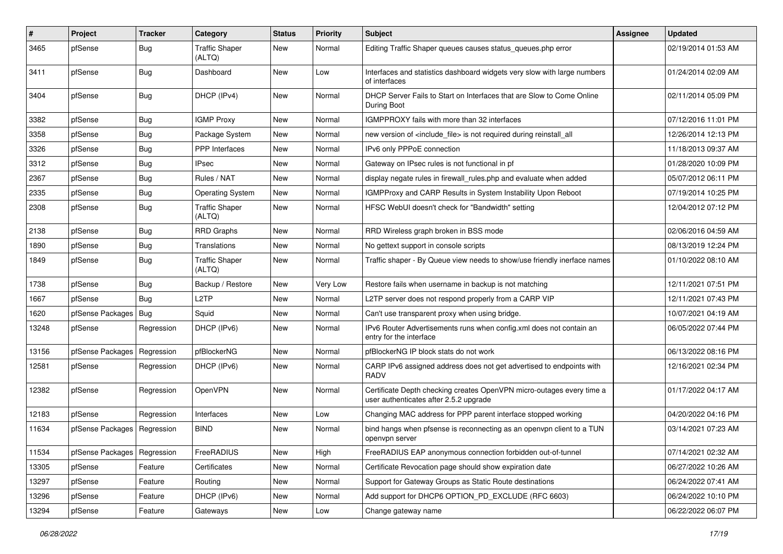| $\vert$ # | Project          | <b>Tracker</b> | Category                        | <b>Status</b> | <b>Priority</b> | <b>Subject</b>                                                                                                  | <b>Assignee</b> | <b>Updated</b>      |
|-----------|------------------|----------------|---------------------------------|---------------|-----------------|-----------------------------------------------------------------------------------------------------------------|-----------------|---------------------|
| 3465      | pfSense          | <b>Bug</b>     | <b>Traffic Shaper</b><br>(ALTQ) | New           | Normal          | Editing Traffic Shaper queues causes status_queues.php error                                                    |                 | 02/19/2014 01:53 AM |
| 3411      | pfSense          | <b>Bug</b>     | Dashboard                       | New           | Low             | Interfaces and statistics dashboard widgets very slow with large numbers<br>of interfaces                       |                 | 01/24/2014 02:09 AM |
| 3404      | pfSense          | <b>Bug</b>     | DHCP (IPv4)                     | <b>New</b>    | Normal          | DHCP Server Fails to Start on Interfaces that are Slow to Come Online<br>During Boot                            |                 | 02/11/2014 05:09 PM |
| 3382      | pfSense          | Bug            | <b>IGMP Proxy</b>               | <b>New</b>    | Normal          | IGMPPROXY fails with more than 32 interfaces                                                                    |                 | 07/12/2016 11:01 PM |
| 3358      | pfSense          | Bug            | Package System                  | New           | Normal          | new version of <include_file> is not required during reinstall_all</include_file>                               |                 | 12/26/2014 12:13 PM |
| 3326      | pfSense          | <b>Bug</b>     | <b>PPP</b> Interfaces           | New           | Normal          | IPv6 only PPPoE connection                                                                                      |                 | 11/18/2013 09:37 AM |
| 3312      | pfSense          | Bug            | <b>IPsec</b>                    | New           | Normal          | Gateway on IPsec rules is not functional in pf                                                                  |                 | 01/28/2020 10:09 PM |
| 2367      | pfSense          | <b>Bug</b>     | Rules / NAT                     | New           | Normal          | display negate rules in firewall_rules.php and evaluate when added                                              |                 | 05/07/2012 06:11 PM |
| 2335      | pfSense          | <b>Bug</b>     | <b>Operating System</b>         | New           | Normal          | IGMPProxy and CARP Results in System Instability Upon Reboot                                                    |                 | 07/19/2014 10:25 PM |
| 2308      | pfSense          | Bug            | <b>Traffic Shaper</b><br>(ALTQ) | <b>New</b>    | Normal          | HFSC WebUI doesn't check for "Bandwidth" setting                                                                |                 | 12/04/2012 07:12 PM |
| 2138      | pfSense          | <b>Bug</b>     | <b>RRD Graphs</b>               | New           | Normal          | RRD Wireless graph broken in BSS mode                                                                           |                 | 02/06/2016 04:59 AM |
| 1890      | pfSense          | Bug            | Translations                    | New           | Normal          | No gettext support in console scripts                                                                           |                 | 08/13/2019 12:24 PM |
| 1849      | pfSense          | <b>Bug</b>     | <b>Traffic Shaper</b><br>(ALTQ) | <b>New</b>    | Normal          | Traffic shaper - By Queue view needs to show/use friendly inerface names                                        |                 | 01/10/2022 08:10 AM |
| 1738      | pfSense          | <b>Bug</b>     | Backup / Restore                | New           | Very Low        | Restore fails when username in backup is not matching                                                           |                 | 12/11/2021 07:51 PM |
| 1667      | pfSense          | Bug            | L <sub>2</sub> TP               | New           | Normal          | L2TP server does not respond properly from a CARP VIP                                                           |                 | 12/11/2021 07:43 PM |
| 1620      | pfSense Packages | Bug            | Squid                           | <b>New</b>    | Normal          | Can't use transparent proxy when using bridge.                                                                  |                 | 10/07/2021 04:19 AM |
| 13248     | pfSense          | Regression     | DHCP (IPv6)                     | New           | Normal          | IPv6 Router Advertisements runs when config.xml does not contain an<br>entry for the interface                  |                 | 06/05/2022 07:44 PM |
| 13156     | pfSense Packages | Regression     | pfBlockerNG                     | New           | Normal          | pfBlockerNG IP block stats do not work                                                                          |                 | 06/13/2022 08:16 PM |
| 12581     | pfSense          | Regression     | DHCP (IPv6)                     | <b>New</b>    | Normal          | CARP IPv6 assigned address does not get advertised to endpoints with<br><b>RADV</b>                             |                 | 12/16/2021 02:34 PM |
| 12382     | pfSense          | Regression     | OpenVPN                         | New           | Normal          | Certificate Depth checking creates OpenVPN micro-outages every time a<br>user authenticates after 2.5.2 upgrade |                 | 01/17/2022 04:17 AM |
| 12183     | pfSense          | Regression     | Interfaces                      | <b>New</b>    | Low             | Changing MAC address for PPP parent interface stopped working                                                   |                 | 04/20/2022 04:16 PM |
| 11634     | pfSense Packages | Regression     | <b>BIND</b>                     | New           | Normal          | bind hangs when pfsense is reconnecting as an openypn client to a TUN<br>openvpn server                         |                 | 03/14/2021 07:23 AM |
| 11534     | pfSense Packages | Regression     | FreeRADIUS                      | New           | High            | FreeRADIUS EAP anonymous connection forbidden out-of-tunnel                                                     |                 | 07/14/2021 02:32 AM |
| 13305     | pfSense          | Feature        | Certificates                    | New           | Normal          | Certificate Revocation page should show expiration date                                                         |                 | 06/27/2022 10:26 AM |
| 13297     | pfSense          | Feature        | Routing                         | New           | Normal          | Support for Gateway Groups as Static Route destinations                                                         |                 | 06/24/2022 07:41 AM |
| 13296     | pfSense          | Feature        | DHCP (IPv6)                     | New           | Normal          | Add support for DHCP6 OPTION_PD_EXCLUDE (RFC 6603)                                                              |                 | 06/24/2022 10:10 PM |
| 13294     | pfSense          | Feature        | Gateways                        | New           | Low             | Change gateway name                                                                                             |                 | 06/22/2022 06:07 PM |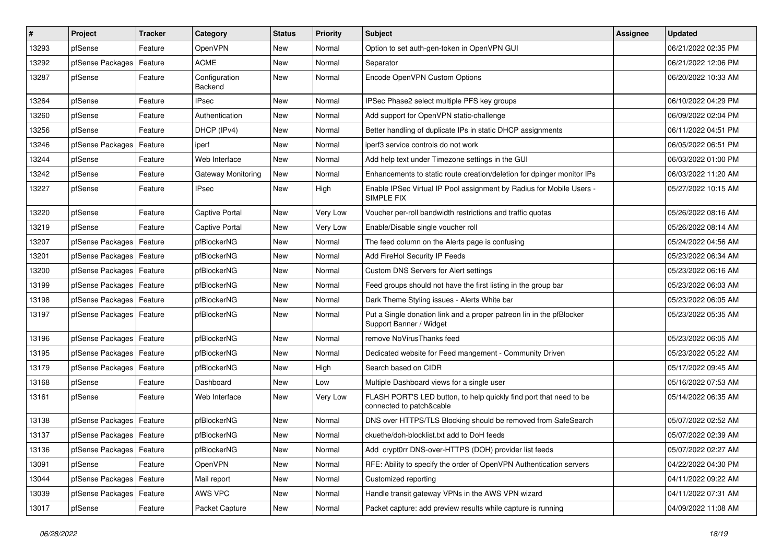| #     | Project                    | Tracker | Category                  | <b>Status</b> | <b>Priority</b> | <b>Subject</b>                                                                                  | <b>Assignee</b> | <b>Updated</b>      |
|-------|----------------------------|---------|---------------------------|---------------|-----------------|-------------------------------------------------------------------------------------------------|-----------------|---------------------|
| 13293 | pfSense                    | Feature | <b>OpenVPN</b>            | <b>New</b>    | Normal          | Option to set auth-gen-token in OpenVPN GUI                                                     |                 | 06/21/2022 02:35 PM |
| 13292 | pfSense Packages           | Feature | <b>ACME</b>               | New           | Normal          | Separator                                                                                       |                 | 06/21/2022 12:06 PM |
| 13287 | pfSense                    | Feature | Configuration<br>Backend  | New           | Normal          | Encode OpenVPN Custom Options                                                                   |                 | 06/20/2022 10:33 AM |
| 13264 | pfSense                    | Feature | <b>IPsec</b>              | <b>New</b>    | Normal          | IPSec Phase2 select multiple PFS key groups                                                     |                 | 06/10/2022 04:29 PM |
| 13260 | pfSense                    | Feature | Authentication            | New           | Normal          | Add support for OpenVPN static-challenge                                                        |                 | 06/09/2022 02:04 PM |
| 13256 | pfSense                    | Feature | DHCP (IPv4)               | <b>New</b>    | Normal          | Better handling of duplicate IPs in static DHCP assignments                                     |                 | 06/11/2022 04:51 PM |
| 13246 | pfSense Packages           | Feature | iperf                     | New           | Normal          | iperf3 service controls do not work                                                             |                 | 06/05/2022 06:51 PM |
| 13244 | pfSense                    | Feature | Web Interface             | New           | Normal          | Add help text under Timezone settings in the GUI                                                |                 | 06/03/2022 01:00 PM |
| 13242 | pfSense                    | Feature | <b>Gateway Monitoring</b> | New           | Normal          | Enhancements to static route creation/deletion for dpinger monitor IPs                          |                 | 06/03/2022 11:20 AM |
| 13227 | pfSense                    | Feature | IPsec                     | New           | High            | Enable IPSec Virtual IP Pool assignment by Radius for Mobile Users -<br>SIMPLE FIX              |                 | 05/27/2022 10:15 AM |
| 13220 | pfSense                    | Feature | Captive Portal            | <b>New</b>    | Very Low        | Voucher per-roll bandwidth restrictions and traffic quotas                                      |                 | 05/26/2022 08:16 AM |
| 13219 | pfSense                    | Feature | Captive Portal            | New           | Very Low        | Enable/Disable single voucher roll                                                              |                 | 05/26/2022 08:14 AM |
| 13207 | pfSense Packages           | Feature | pfBlockerNG               | <b>New</b>    | Normal          | The feed column on the Alerts page is confusing                                                 |                 | 05/24/2022 04:56 AM |
| 13201 | pfSense Packages           | Feature | pfBlockerNG               | New           | Normal          | Add FireHol Security IP Feeds                                                                   |                 | 05/23/2022 06:34 AM |
| 13200 | pfSense Packages           | Feature | pfBlockerNG               | New           | Normal          | Custom DNS Servers for Alert settings                                                           |                 | 05/23/2022 06:16 AM |
| 13199 | pfSense Packages           | Feature | pfBlockerNG               | New           | Normal          | Feed groups should not have the first listing in the group bar                                  |                 | 05/23/2022 06:03 AM |
| 13198 | pfSense Packages           | Feature | pfBlockerNG               | New           | Normal          | Dark Theme Styling issues - Alerts White bar                                                    |                 | 05/23/2022 06:05 AM |
| 13197 | pfSense Packages           | Feature | pfBlockerNG               | New           | Normal          | Put a Single donation link and a proper patreon lin in the pfBlocker<br>Support Banner / Widget |                 | 05/23/2022 05:35 AM |
| 13196 | pfSense Packages           | Feature | pfBlockerNG               | <b>New</b>    | Normal          | remove NoVirusThanks feed                                                                       |                 | 05/23/2022 06:05 AM |
| 13195 | pfSense Packages           | Feature | pfBlockerNG               | New           | Normal          | Dedicated website for Feed mangement - Community Driven                                         |                 | 05/23/2022 05:22 AM |
| 13179 | pfSense Packages           | Feature | pfBlockerNG               | New           | High            | Search based on CIDR                                                                            |                 | 05/17/2022 09:45 AM |
| 13168 | pfSense                    | Feature | Dashboard                 | New           | Low             | Multiple Dashboard views for a single user                                                      |                 | 05/16/2022 07:53 AM |
| 13161 | pfSense                    | Feature | Web Interface             | New           | Very Low        | FLASH PORT'S LED button, to help quickly find port that need to be<br>connected to patch&cable  |                 | 05/14/2022 06:35 AM |
| 13138 | pfSense Packages           | Feature | pfBlockerNG               | New           | Normal          | DNS over HTTPS/TLS Blocking should be removed from SafeSearch                                   |                 | 05/07/2022 02:52 AM |
| 13137 | pfSense Packages   Feature |         | pfBlockerNG               | New           | Normal          | ckuethe/doh-blocklist.txt add to DoH feeds                                                      |                 | 05/07/2022 02:39 AM |
| 13136 | pfSense Packages   Feature |         | pfBlockerNG               | New           | Normal          | Add crypt0rr DNS-over-HTTPS (DOH) provider list feeds                                           |                 | 05/07/2022 02:27 AM |
| 13091 | pfSense                    | Feature | <b>OpenVPN</b>            | New           | Normal          | RFE: Ability to specify the order of OpenVPN Authentication servers                             |                 | 04/22/2022 04:30 PM |
| 13044 | pfSense Packages           | Feature | Mail report               | New           | Normal          | Customized reporting                                                                            |                 | 04/11/2022 09:22 AM |
| 13039 | pfSense Packages   Feature |         | AWS VPC                   | New           | Normal          | Handle transit gateway VPNs in the AWS VPN wizard                                               |                 | 04/11/2022 07:31 AM |
| 13017 | pfSense                    | Feature | Packet Capture            | New           | Normal          | Packet capture: add preview results while capture is running                                    |                 | 04/09/2022 11:08 AM |